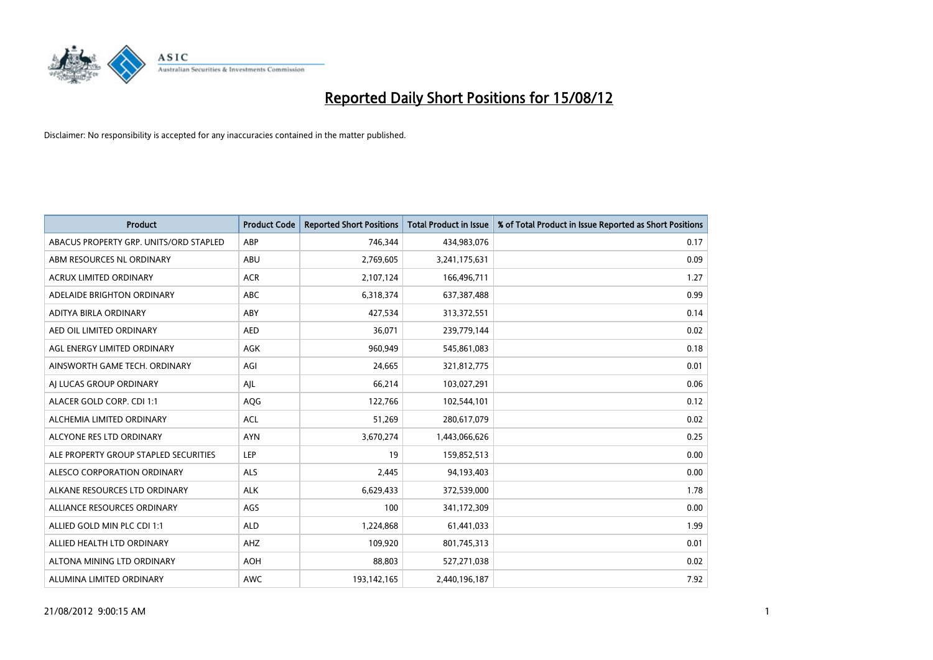

| <b>Product</b>                         | <b>Product Code</b> | <b>Reported Short Positions</b> | <b>Total Product in Issue</b> | % of Total Product in Issue Reported as Short Positions |
|----------------------------------------|---------------------|---------------------------------|-------------------------------|---------------------------------------------------------|
| ABACUS PROPERTY GRP. UNITS/ORD STAPLED | ABP                 | 746,344                         | 434,983,076                   | 0.17                                                    |
| ABM RESOURCES NL ORDINARY              | ABU                 | 2,769,605                       | 3,241,175,631                 | 0.09                                                    |
| <b>ACRUX LIMITED ORDINARY</b>          | <b>ACR</b>          | 2,107,124                       | 166,496,711                   | 1.27                                                    |
| ADELAIDE BRIGHTON ORDINARY             | <b>ABC</b>          | 6,318,374                       | 637,387,488                   | 0.99                                                    |
| <b>ADITYA BIRLA ORDINARY</b>           | ABY                 | 427,534                         | 313,372,551                   | 0.14                                                    |
| AED OIL LIMITED ORDINARY               | <b>AED</b>          | 36,071                          | 239,779,144                   | 0.02                                                    |
| AGL ENERGY LIMITED ORDINARY            | AGK                 | 960,949                         | 545,861,083                   | 0.18                                                    |
| AINSWORTH GAME TECH. ORDINARY          | AGI                 | 24,665                          | 321,812,775                   | 0.01                                                    |
| AI LUCAS GROUP ORDINARY                | AJL                 | 66,214                          | 103,027,291                   | 0.06                                                    |
| ALACER GOLD CORP. CDI 1:1              | AQG                 | 122,766                         | 102,544,101                   | 0.12                                                    |
| ALCHEMIA LIMITED ORDINARY              | <b>ACL</b>          | 51,269                          | 280,617,079                   | 0.02                                                    |
| ALCYONE RES LTD ORDINARY               | <b>AYN</b>          | 3,670,274                       | 1,443,066,626                 | 0.25                                                    |
| ALE PROPERTY GROUP STAPLED SECURITIES  | LEP                 | 19                              | 159,852,513                   | 0.00                                                    |
| ALESCO CORPORATION ORDINARY            | ALS                 | 2,445                           | 94,193,403                    | 0.00                                                    |
| ALKANE RESOURCES LTD ORDINARY          | <b>ALK</b>          | 6,629,433                       | 372,539,000                   | 1.78                                                    |
| ALLIANCE RESOURCES ORDINARY            | AGS                 | 100                             | 341,172,309                   | 0.00                                                    |
| ALLIED GOLD MIN PLC CDI 1:1            | <b>ALD</b>          | 1,224,868                       | 61,441,033                    | 1.99                                                    |
| ALLIED HEALTH LTD ORDINARY             | <b>AHZ</b>          | 109,920                         | 801,745,313                   | 0.01                                                    |
| ALTONA MINING LTD ORDINARY             | <b>AOH</b>          | 88,803                          | 527,271,038                   | 0.02                                                    |
| ALUMINA LIMITED ORDINARY               | <b>AWC</b>          | 193,142,165                     | 2,440,196,187                 | 7.92                                                    |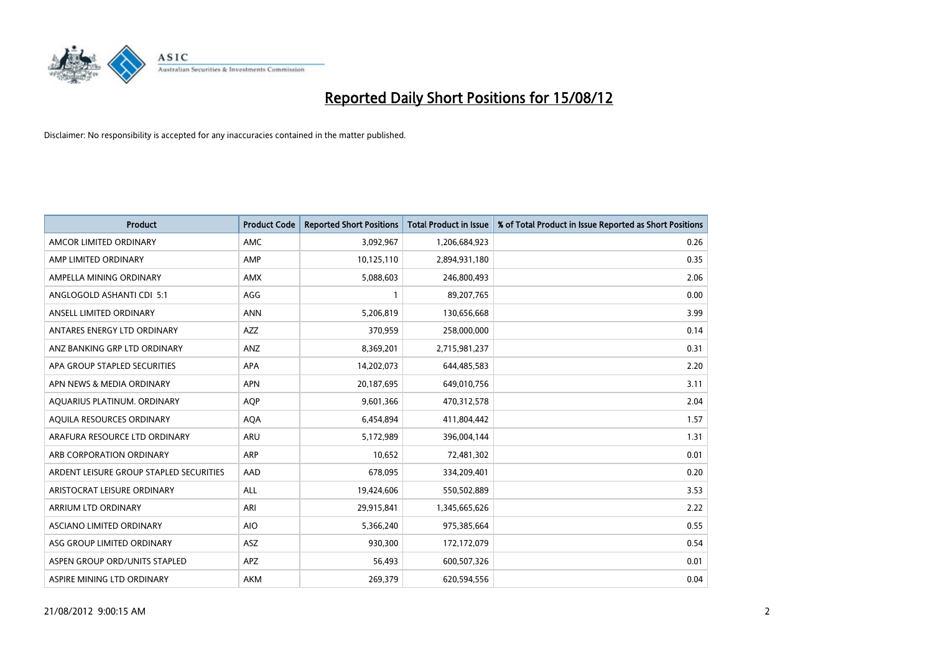

| <b>Product</b>                          | <b>Product Code</b> | <b>Reported Short Positions</b> | <b>Total Product in Issue</b> | % of Total Product in Issue Reported as Short Positions |
|-----------------------------------------|---------------------|---------------------------------|-------------------------------|---------------------------------------------------------|
| AMCOR LIMITED ORDINARY                  | <b>AMC</b>          | 3,092,967                       | 1,206,684,923                 | 0.26                                                    |
| AMP LIMITED ORDINARY                    | AMP                 | 10,125,110                      | 2,894,931,180                 | 0.35                                                    |
| AMPELLA MINING ORDINARY                 | <b>AMX</b>          | 5,088,603                       | 246,800,493                   | 2.06                                                    |
| ANGLOGOLD ASHANTI CDI 5:1               | AGG                 | $\mathbf{1}$                    | 89,207,765                    | 0.00                                                    |
| ANSELL LIMITED ORDINARY                 | <b>ANN</b>          | 5,206,819                       | 130,656,668                   | 3.99                                                    |
| ANTARES ENERGY LTD ORDINARY             | <b>AZZ</b>          | 370,959                         | 258,000,000                   | 0.14                                                    |
| ANZ BANKING GRP LTD ORDINARY            | <b>ANZ</b>          | 8,369,201                       | 2,715,981,237                 | 0.31                                                    |
| APA GROUP STAPLED SECURITIES            | <b>APA</b>          | 14,202,073                      | 644,485,583                   | 2.20                                                    |
| APN NEWS & MEDIA ORDINARY               | <b>APN</b>          | 20,187,695                      | 649,010,756                   | 3.11                                                    |
| AQUARIUS PLATINUM. ORDINARY             | <b>AOP</b>          | 9,601,366                       | 470,312,578                   | 2.04                                                    |
| AQUILA RESOURCES ORDINARY               | <b>AQA</b>          | 6,454,894                       | 411,804,442                   | 1.57                                                    |
| ARAFURA RESOURCE LTD ORDINARY           | <b>ARU</b>          | 5,172,989                       | 396,004,144                   | 1.31                                                    |
| ARB CORPORATION ORDINARY                | <b>ARP</b>          | 10,652                          | 72,481,302                    | 0.01                                                    |
| ARDENT LEISURE GROUP STAPLED SECURITIES | AAD                 | 678,095                         | 334,209,401                   | 0.20                                                    |
| ARISTOCRAT LEISURE ORDINARY             | <b>ALL</b>          | 19,424,606                      | 550,502,889                   | 3.53                                                    |
| ARRIUM LTD ORDINARY                     | ARI                 | 29,915,841                      | 1,345,665,626                 | 2.22                                                    |
| ASCIANO LIMITED ORDINARY                | <b>AIO</b>          | 5,366,240                       | 975,385,664                   | 0.55                                                    |
| ASG GROUP LIMITED ORDINARY              | <b>ASZ</b>          | 930,300                         | 172,172,079                   | 0.54                                                    |
| ASPEN GROUP ORD/UNITS STAPLED           | <b>APZ</b>          | 56,493                          | 600,507,326                   | 0.01                                                    |
| ASPIRE MINING LTD ORDINARY              | <b>AKM</b>          | 269,379                         | 620,594,556                   | 0.04                                                    |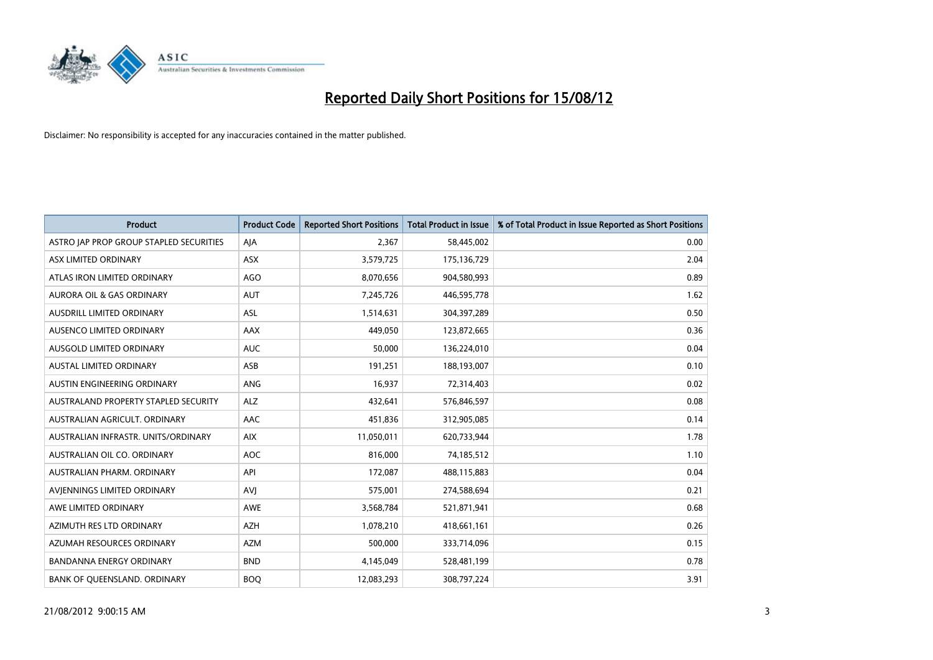

| <b>Product</b>                          | <b>Product Code</b> | <b>Reported Short Positions</b> | <b>Total Product in Issue</b> | % of Total Product in Issue Reported as Short Positions |
|-----------------------------------------|---------------------|---------------------------------|-------------------------------|---------------------------------------------------------|
| ASTRO JAP PROP GROUP STAPLED SECURITIES | AIA                 | 2,367                           | 58,445,002                    | 0.00                                                    |
| ASX LIMITED ORDINARY                    | <b>ASX</b>          | 3,579,725                       | 175,136,729                   | 2.04                                                    |
| ATLAS IRON LIMITED ORDINARY             | AGO                 | 8,070,656                       | 904,580,993                   | 0.89                                                    |
| AURORA OIL & GAS ORDINARY               | <b>AUT</b>          | 7,245,726                       | 446,595,778                   | 1.62                                                    |
| AUSDRILL LIMITED ORDINARY               | <b>ASL</b>          | 1,514,631                       | 304,397,289                   | 0.50                                                    |
| AUSENCO LIMITED ORDINARY                | AAX                 | 449.050                         | 123,872,665                   | 0.36                                                    |
| AUSGOLD LIMITED ORDINARY                | <b>AUC</b>          | 50,000                          | 136,224,010                   | 0.04                                                    |
| <b>AUSTAL LIMITED ORDINARY</b>          | ASB                 | 191,251                         | 188,193,007                   | 0.10                                                    |
| AUSTIN ENGINEERING ORDINARY             | <b>ANG</b>          | 16,937                          | 72,314,403                    | 0.02                                                    |
| AUSTRALAND PROPERTY STAPLED SECURITY    | <b>ALZ</b>          | 432,641                         | 576,846,597                   | 0.08                                                    |
| AUSTRALIAN AGRICULT. ORDINARY           | AAC                 | 451,836                         | 312,905,085                   | 0.14                                                    |
| AUSTRALIAN INFRASTR. UNITS/ORDINARY     | <b>AIX</b>          | 11,050,011                      | 620,733,944                   | 1.78                                                    |
| AUSTRALIAN OIL CO. ORDINARY             | <b>AOC</b>          | 816,000                         | 74,185,512                    | 1.10                                                    |
| AUSTRALIAN PHARM, ORDINARY              | API                 | 172,087                         | 488,115,883                   | 0.04                                                    |
| AVIENNINGS LIMITED ORDINARY             | AVI                 | 575,001                         | 274,588,694                   | 0.21                                                    |
| AWE LIMITED ORDINARY                    | <b>AWE</b>          | 3,568,784                       | 521,871,941                   | 0.68                                                    |
| AZIMUTH RES LTD ORDINARY                | <b>AZH</b>          | 1,078,210                       | 418,661,161                   | 0.26                                                    |
| AZUMAH RESOURCES ORDINARY               | <b>AZM</b>          | 500,000                         | 333,714,096                   | 0.15                                                    |
| BANDANNA ENERGY ORDINARY                | <b>BND</b>          | 4,145,049                       | 528,481,199                   | 0.78                                                    |
| BANK OF QUEENSLAND. ORDINARY            | <b>BOQ</b>          | 12,083,293                      | 308,797,224                   | 3.91                                                    |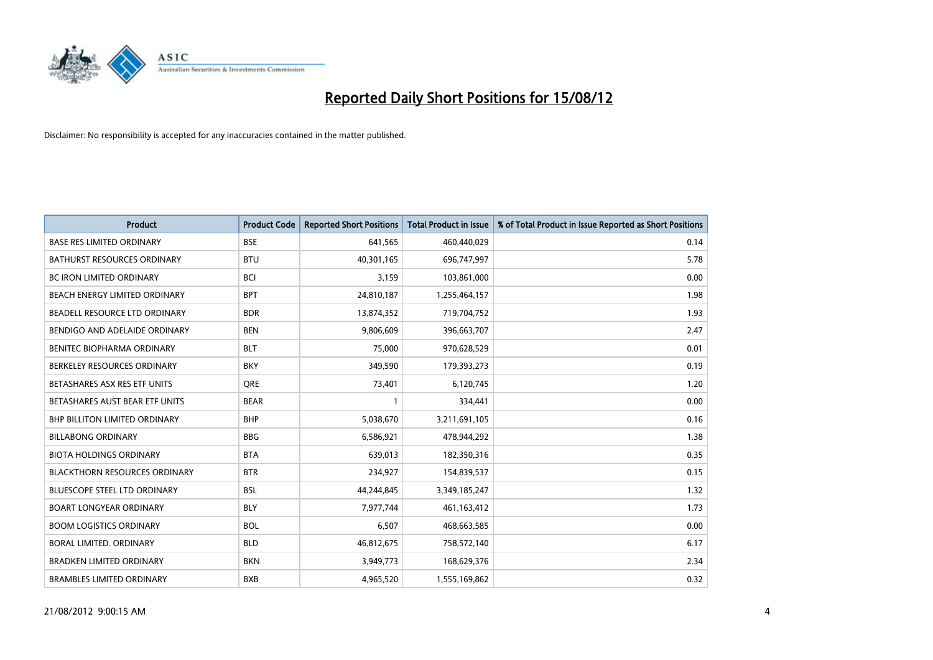

| <b>Product</b>                       | <b>Product Code</b> | <b>Reported Short Positions</b> | <b>Total Product in Issue</b> | % of Total Product in Issue Reported as Short Positions |
|--------------------------------------|---------------------|---------------------------------|-------------------------------|---------------------------------------------------------|
| <b>BASE RES LIMITED ORDINARY</b>     | <b>BSE</b>          | 641,565                         | 460,440,029                   | 0.14                                                    |
| <b>BATHURST RESOURCES ORDINARY</b>   | <b>BTU</b>          | 40,301,165                      | 696,747,997                   | 5.78                                                    |
| <b>BC IRON LIMITED ORDINARY</b>      | <b>BCI</b>          | 3,159                           | 103,861,000                   | 0.00                                                    |
| BEACH ENERGY LIMITED ORDINARY        | <b>BPT</b>          | 24,810,187                      | 1,255,464,157                 | 1.98                                                    |
| BEADELL RESOURCE LTD ORDINARY        | <b>BDR</b>          | 13,874,352                      | 719,704,752                   | 1.93                                                    |
| BENDIGO AND ADELAIDE ORDINARY        | <b>BEN</b>          | 9,806,609                       | 396,663,707                   | 2.47                                                    |
| <b>BENITEC BIOPHARMA ORDINARY</b>    | <b>BLT</b>          | 75,000                          | 970,628,529                   | 0.01                                                    |
| BERKELEY RESOURCES ORDINARY          | <b>BKY</b>          | 349,590                         | 179,393,273                   | 0.19                                                    |
| BETASHARES ASX RES ETF UNITS         | <b>ORE</b>          | 73,401                          | 6,120,745                     | 1.20                                                    |
| BETASHARES AUST BEAR ETF UNITS       | <b>BEAR</b>         |                                 | 334,441                       | 0.00                                                    |
| <b>BHP BILLITON LIMITED ORDINARY</b> | <b>BHP</b>          | 5,038,670                       | 3,211,691,105                 | 0.16                                                    |
| <b>BILLABONG ORDINARY</b>            | <b>BBG</b>          | 6,586,921                       | 478,944,292                   | 1.38                                                    |
| <b>BIOTA HOLDINGS ORDINARY</b>       | <b>BTA</b>          | 639,013                         | 182,350,316                   | 0.35                                                    |
| <b>BLACKTHORN RESOURCES ORDINARY</b> | <b>BTR</b>          | 234,927                         | 154,839,537                   | 0.15                                                    |
| <b>BLUESCOPE STEEL LTD ORDINARY</b>  | <b>BSL</b>          | 44,244,845                      | 3,349,185,247                 | 1.32                                                    |
| <b>BOART LONGYEAR ORDINARY</b>       | <b>BLY</b>          | 7,977,744                       | 461,163,412                   | 1.73                                                    |
| <b>BOOM LOGISTICS ORDINARY</b>       | <b>BOL</b>          | 6,507                           | 468,663,585                   | 0.00                                                    |
| BORAL LIMITED. ORDINARY              | <b>BLD</b>          | 46,812,675                      | 758,572,140                   | 6.17                                                    |
| <b>BRADKEN LIMITED ORDINARY</b>      | <b>BKN</b>          | 3,949,773                       | 168,629,376                   | 2.34                                                    |
| <b>BRAMBLES LIMITED ORDINARY</b>     | <b>BXB</b>          | 4,965,520                       | 1,555,169,862                 | 0.32                                                    |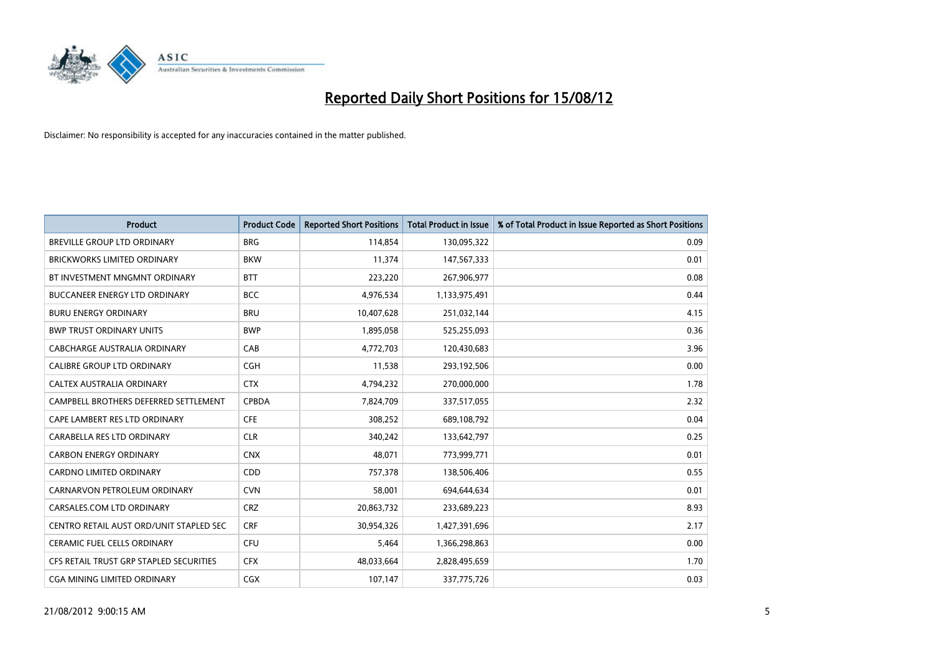

| <b>Product</b>                          | <b>Product Code</b> | <b>Reported Short Positions</b> | <b>Total Product in Issue</b> | % of Total Product in Issue Reported as Short Positions |
|-----------------------------------------|---------------------|---------------------------------|-------------------------------|---------------------------------------------------------|
| <b>BREVILLE GROUP LTD ORDINARY</b>      | <b>BRG</b>          | 114,854                         | 130,095,322                   | 0.09                                                    |
| <b>BRICKWORKS LIMITED ORDINARY</b>      | <b>BKW</b>          | 11,374                          | 147,567,333                   | 0.01                                                    |
| BT INVESTMENT MNGMNT ORDINARY           | <b>BTT</b>          | 223,220                         | 267,906,977                   | 0.08                                                    |
| <b>BUCCANEER ENERGY LTD ORDINARY</b>    | <b>BCC</b>          | 4,976,534                       | 1,133,975,491                 | 0.44                                                    |
| <b>BURU ENERGY ORDINARY</b>             | <b>BRU</b>          | 10,407,628                      | 251,032,144                   | 4.15                                                    |
| <b>BWP TRUST ORDINARY UNITS</b>         | <b>BWP</b>          | 1,895,058                       | 525,255,093                   | 0.36                                                    |
| CABCHARGE AUSTRALIA ORDINARY            | CAB                 | 4,772,703                       | 120,430,683                   | 3.96                                                    |
| CALIBRE GROUP LTD ORDINARY              | <b>CGH</b>          | 11,538                          | 293,192,506                   | 0.00                                                    |
| CALTEX AUSTRALIA ORDINARY               | <b>CTX</b>          | 4,794,232                       | 270,000,000                   | 1.78                                                    |
| CAMPBELL BROTHERS DEFERRED SETTLEMENT   | <b>CPBDA</b>        | 7,824,709                       | 337,517,055                   | 2.32                                                    |
| CAPE LAMBERT RES LTD ORDINARY           | <b>CFE</b>          | 308,252                         | 689,108,792                   | 0.04                                                    |
| CARABELLA RES LTD ORDINARY              | <b>CLR</b>          | 340,242                         | 133,642,797                   | 0.25                                                    |
| <b>CARBON ENERGY ORDINARY</b>           | <b>CNX</b>          | 48,071                          | 773,999,771                   | 0.01                                                    |
| <b>CARDNO LIMITED ORDINARY</b>          | CDD                 | 757,378                         | 138,506,406                   | 0.55                                                    |
| CARNARVON PETROLEUM ORDINARY            | <b>CVN</b>          | 58,001                          | 694,644,634                   | 0.01                                                    |
| CARSALES.COM LTD ORDINARY               | <b>CRZ</b>          | 20,863,732                      | 233,689,223                   | 8.93                                                    |
| CENTRO RETAIL AUST ORD/UNIT STAPLED SEC | <b>CRF</b>          | 30,954,326                      | 1,427,391,696                 | 2.17                                                    |
| <b>CERAMIC FUEL CELLS ORDINARY</b>      | <b>CFU</b>          | 5,464                           | 1,366,298,863                 | 0.00                                                    |
| CFS RETAIL TRUST GRP STAPLED SECURITIES | <b>CFX</b>          | 48,033,664                      | 2,828,495,659                 | 1.70                                                    |
| CGA MINING LIMITED ORDINARY             | <b>CGX</b>          | 107,147                         | 337,775,726                   | 0.03                                                    |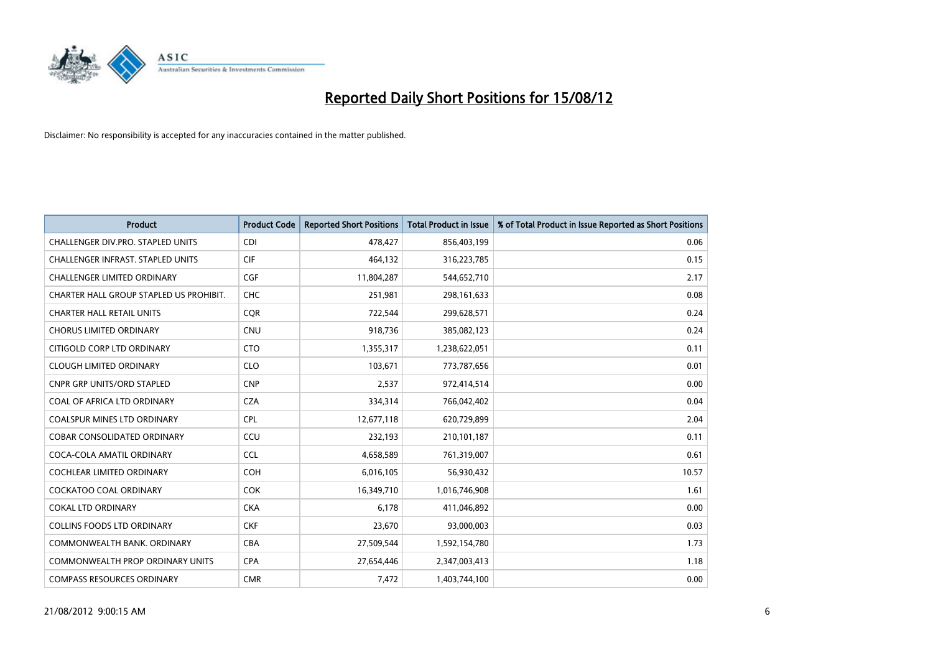

| <b>Product</b>                          | <b>Product Code</b> | <b>Reported Short Positions</b> | <b>Total Product in Issue</b> | % of Total Product in Issue Reported as Short Positions |
|-----------------------------------------|---------------------|---------------------------------|-------------------------------|---------------------------------------------------------|
| CHALLENGER DIV.PRO. STAPLED UNITS       | <b>CDI</b>          | 478,427                         | 856,403,199                   | 0.06                                                    |
| CHALLENGER INFRAST. STAPLED UNITS       | <b>CIF</b>          | 464,132                         | 316,223,785                   | 0.15                                                    |
| <b>CHALLENGER LIMITED ORDINARY</b>      | <b>CGF</b>          | 11,804,287                      | 544,652,710                   | 2.17                                                    |
| CHARTER HALL GROUP STAPLED US PROHIBIT. | <b>CHC</b>          | 251,981                         | 298,161,633                   | 0.08                                                    |
| <b>CHARTER HALL RETAIL UNITS</b>        | <b>COR</b>          | 722,544                         | 299,628,571                   | 0.24                                                    |
| <b>CHORUS LIMITED ORDINARY</b>          | CNU                 | 918,736                         | 385,082,123                   | 0.24                                                    |
| CITIGOLD CORP LTD ORDINARY              | <b>CTO</b>          | 1,355,317                       | 1,238,622,051                 | 0.11                                                    |
| <b>CLOUGH LIMITED ORDINARY</b>          | <b>CLO</b>          | 103,671                         | 773,787,656                   | 0.01                                                    |
| <b>CNPR GRP UNITS/ORD STAPLED</b>       | <b>CNP</b>          | 2,537                           | 972,414,514                   | 0.00                                                    |
| COAL OF AFRICA LTD ORDINARY             | <b>CZA</b>          | 334,314                         | 766,042,402                   | 0.04                                                    |
| COALSPUR MINES LTD ORDINARY             | <b>CPL</b>          | 12,677,118                      | 620,729,899                   | 2.04                                                    |
| <b>COBAR CONSOLIDATED ORDINARY</b>      | CCU                 | 232,193                         | 210,101,187                   | 0.11                                                    |
| COCA-COLA AMATIL ORDINARY               | <b>CCL</b>          | 4,658,589                       | 761,319,007                   | 0.61                                                    |
| <b>COCHLEAR LIMITED ORDINARY</b>        | <b>COH</b>          | 6,016,105                       | 56,930,432                    | 10.57                                                   |
| <b>COCKATOO COAL ORDINARY</b>           | <b>COK</b>          | 16,349,710                      | 1,016,746,908                 | 1.61                                                    |
| <b>COKAL LTD ORDINARY</b>               | <b>CKA</b>          | 6,178                           | 411,046,892                   | 0.00                                                    |
| <b>COLLINS FOODS LTD ORDINARY</b>       | <b>CKF</b>          | 23,670                          | 93,000,003                    | 0.03                                                    |
| COMMONWEALTH BANK, ORDINARY             | <b>CBA</b>          | 27,509,544                      | 1,592,154,780                 | 1.73                                                    |
| <b>COMMONWEALTH PROP ORDINARY UNITS</b> | <b>CPA</b>          | 27,654,446                      | 2,347,003,413                 | 1.18                                                    |
| <b>COMPASS RESOURCES ORDINARY</b>       | <b>CMR</b>          | 7,472                           | 1,403,744,100                 | 0.00                                                    |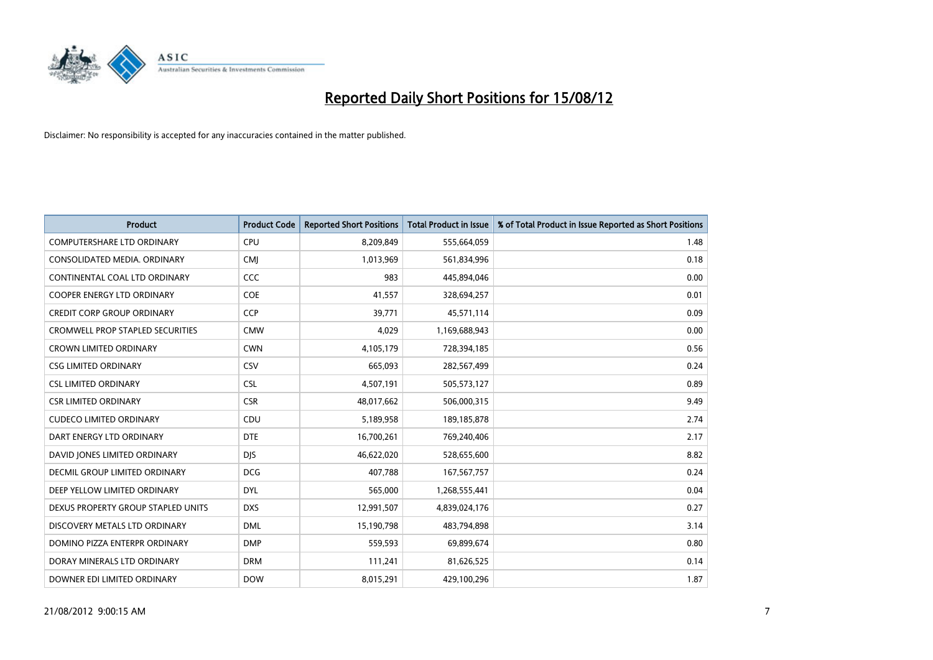

| <b>Product</b>                          | <b>Product Code</b> | <b>Reported Short Positions</b> | <b>Total Product in Issue</b> | % of Total Product in Issue Reported as Short Positions |
|-----------------------------------------|---------------------|---------------------------------|-------------------------------|---------------------------------------------------------|
| <b>COMPUTERSHARE LTD ORDINARY</b>       | <b>CPU</b>          | 8,209,849                       | 555,664,059                   | 1.48                                                    |
| CONSOLIDATED MEDIA. ORDINARY            | <b>CMI</b>          | 1,013,969                       | 561,834,996                   | 0.18                                                    |
| CONTINENTAL COAL LTD ORDINARY           | CCC                 | 983                             | 445,894,046                   | 0.00                                                    |
| COOPER ENERGY LTD ORDINARY              | <b>COE</b>          | 41,557                          | 328,694,257                   | 0.01                                                    |
| <b>CREDIT CORP GROUP ORDINARY</b>       | <b>CCP</b>          | 39,771                          | 45,571,114                    | 0.09                                                    |
| <b>CROMWELL PROP STAPLED SECURITIES</b> | <b>CMW</b>          | 4,029                           | 1,169,688,943                 | 0.00                                                    |
| <b>CROWN LIMITED ORDINARY</b>           | <b>CWN</b>          | 4,105,179                       | 728,394,185                   | 0.56                                                    |
| <b>CSG LIMITED ORDINARY</b>             | CSV                 | 665,093                         | 282,567,499                   | 0.24                                                    |
| <b>CSL LIMITED ORDINARY</b>             | <b>CSL</b>          | 4,507,191                       | 505,573,127                   | 0.89                                                    |
| <b>CSR LIMITED ORDINARY</b>             | <b>CSR</b>          | 48,017,662                      | 506,000,315                   | 9.49                                                    |
| <b>CUDECO LIMITED ORDINARY</b>          | CDU                 | 5,189,958                       | 189, 185, 878                 | 2.74                                                    |
| DART ENERGY LTD ORDINARY                | <b>DTE</b>          | 16,700,261                      | 769,240,406                   | 2.17                                                    |
| DAVID JONES LIMITED ORDINARY            | <b>DJS</b>          | 46,622,020                      | 528,655,600                   | 8.82                                                    |
| <b>DECMIL GROUP LIMITED ORDINARY</b>    | <b>DCG</b>          | 407,788                         | 167, 567, 757                 | 0.24                                                    |
| DEEP YELLOW LIMITED ORDINARY            | <b>DYL</b>          | 565,000                         | 1,268,555,441                 | 0.04                                                    |
| DEXUS PROPERTY GROUP STAPLED UNITS      | <b>DXS</b>          | 12,991,507                      | 4,839,024,176                 | 0.27                                                    |
| DISCOVERY METALS LTD ORDINARY           | <b>DML</b>          | 15,190,798                      | 483,794,898                   | 3.14                                                    |
| DOMINO PIZZA ENTERPR ORDINARY           | <b>DMP</b>          | 559,593                         | 69,899,674                    | 0.80                                                    |
| DORAY MINERALS LTD ORDINARY             | <b>DRM</b>          | 111,241                         | 81,626,525                    | 0.14                                                    |
| DOWNER EDI LIMITED ORDINARY             | <b>DOW</b>          | 8,015,291                       | 429,100,296                   | 1.87                                                    |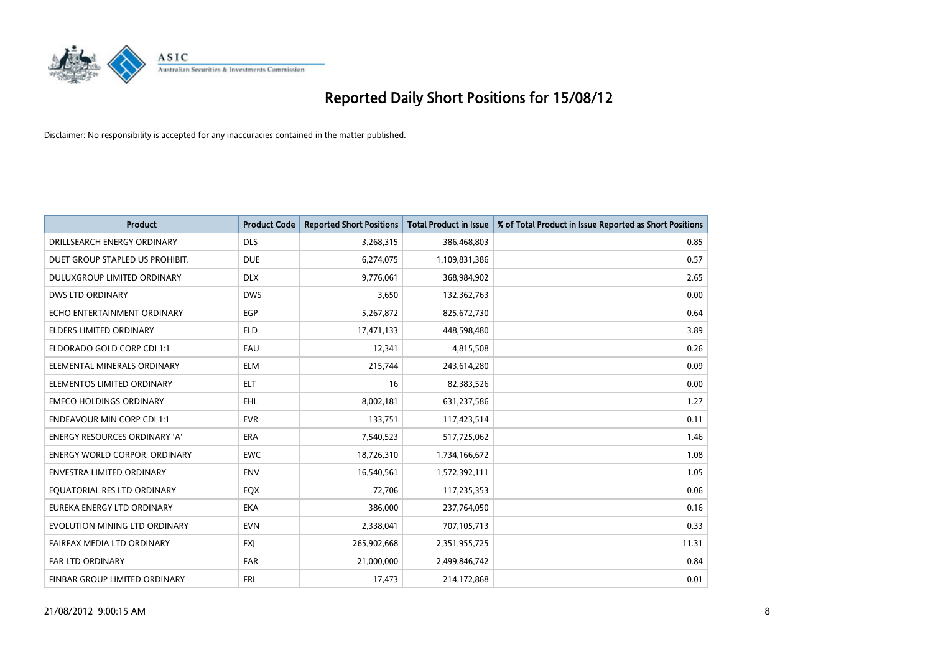

| <b>Product</b>                       | <b>Product Code</b> | <b>Reported Short Positions</b> | <b>Total Product in Issue</b> | % of Total Product in Issue Reported as Short Positions |
|--------------------------------------|---------------------|---------------------------------|-------------------------------|---------------------------------------------------------|
| DRILLSEARCH ENERGY ORDINARY          | <b>DLS</b>          | 3,268,315                       | 386,468,803                   | 0.85                                                    |
| DUET GROUP STAPLED US PROHIBIT.      | <b>DUE</b>          | 6,274,075                       | 1,109,831,386                 | 0.57                                                    |
| <b>DULUXGROUP LIMITED ORDINARY</b>   | <b>DLX</b>          | 9,776,061                       | 368,984,902                   | 2.65                                                    |
| DWS LTD ORDINARY                     | <b>DWS</b>          | 3,650                           | 132,362,763                   | 0.00                                                    |
| ECHO ENTERTAINMENT ORDINARY          | EGP                 | 5,267,872                       | 825,672,730                   | 0.64                                                    |
| ELDERS LIMITED ORDINARY              | <b>ELD</b>          | 17,471,133                      | 448,598,480                   | 3.89                                                    |
| ELDORADO GOLD CORP CDI 1:1           | EAU                 | 12,341                          | 4,815,508                     | 0.26                                                    |
| ELEMENTAL MINERALS ORDINARY          | <b>ELM</b>          | 215,744                         | 243,614,280                   | 0.09                                                    |
| ELEMENTOS LIMITED ORDINARY           | <b>ELT</b>          | 16                              | 82,383,526                    | 0.00                                                    |
| <b>EMECO HOLDINGS ORDINARY</b>       | <b>EHL</b>          | 8,002,181                       | 631,237,586                   | 1.27                                                    |
| <b>ENDEAVOUR MIN CORP CDI 1:1</b>    | <b>EVR</b>          | 133,751                         | 117,423,514                   | 0.11                                                    |
| <b>ENERGY RESOURCES ORDINARY 'A'</b> | <b>ERA</b>          | 7,540,523                       | 517,725,062                   | 1.46                                                    |
| ENERGY WORLD CORPOR. ORDINARY        | <b>EWC</b>          | 18,726,310                      | 1,734,166,672                 | 1.08                                                    |
| <b>ENVESTRA LIMITED ORDINARY</b>     | <b>ENV</b>          | 16,540,561                      | 1,572,392,111                 | 1.05                                                    |
| EQUATORIAL RES LTD ORDINARY          | EQX                 | 72,706                          | 117,235,353                   | 0.06                                                    |
| EUREKA ENERGY LTD ORDINARY           | <b>EKA</b>          | 386,000                         | 237,764,050                   | 0.16                                                    |
| EVOLUTION MINING LTD ORDINARY        | <b>EVN</b>          | 2,338,041                       | 707,105,713                   | 0.33                                                    |
| FAIRFAX MEDIA LTD ORDINARY           | <b>FXJ</b>          | 265,902,668                     | 2,351,955,725                 | 11.31                                                   |
| <b>FAR LTD ORDINARY</b>              | <b>FAR</b>          | 21,000,000                      | 2,499,846,742                 | 0.84                                                    |
| FINBAR GROUP LIMITED ORDINARY        | <b>FRI</b>          | 17,473                          | 214,172,868                   | 0.01                                                    |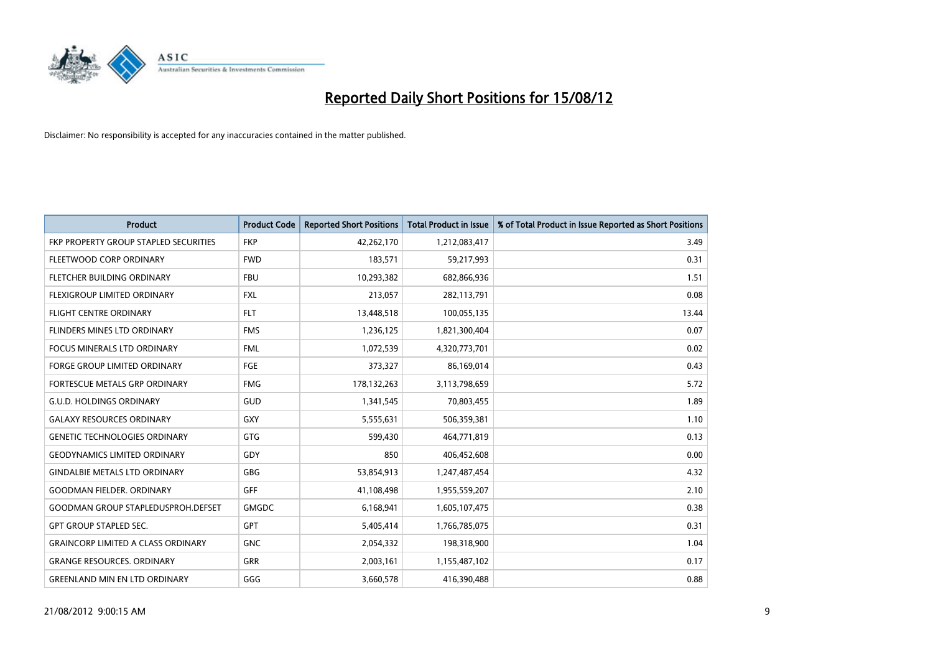

| <b>Product</b>                            | <b>Product Code</b> | <b>Reported Short Positions</b> | <b>Total Product in Issue</b> | % of Total Product in Issue Reported as Short Positions |
|-------------------------------------------|---------------------|---------------------------------|-------------------------------|---------------------------------------------------------|
| FKP PROPERTY GROUP STAPLED SECURITIES     | <b>FKP</b>          | 42,262,170                      | 1,212,083,417                 | 3.49                                                    |
| FLEETWOOD CORP ORDINARY                   | <b>FWD</b>          | 183,571                         | 59,217,993                    | 0.31                                                    |
| FLETCHER BUILDING ORDINARY                | <b>FBU</b>          | 10,293,382                      | 682,866,936                   | 1.51                                                    |
| <b>FLEXIGROUP LIMITED ORDINARY</b>        | <b>FXL</b>          | 213,057                         | 282,113,791                   | 0.08                                                    |
| <b>FLIGHT CENTRE ORDINARY</b>             | <b>FLT</b>          | 13,448,518                      | 100,055,135                   | 13.44                                                   |
| FLINDERS MINES LTD ORDINARY               | <b>FMS</b>          | 1,236,125                       | 1,821,300,404                 | 0.07                                                    |
| <b>FOCUS MINERALS LTD ORDINARY</b>        | <b>FML</b>          | 1,072,539                       | 4,320,773,701                 | 0.02                                                    |
| FORGE GROUP LIMITED ORDINARY              | FGE                 | 373,327                         | 86,169,014                    | 0.43                                                    |
| FORTESCUE METALS GRP ORDINARY             | <b>FMG</b>          | 178,132,263                     | 3,113,798,659                 | 5.72                                                    |
| <b>G.U.D. HOLDINGS ORDINARY</b>           | <b>GUD</b>          | 1,341,545                       | 70,803,455                    | 1.89                                                    |
| <b>GALAXY RESOURCES ORDINARY</b>          | <b>GXY</b>          | 5,555,631                       | 506,359,381                   | 1.10                                                    |
| <b>GENETIC TECHNOLOGIES ORDINARY</b>      | <b>GTG</b>          | 599,430                         | 464,771,819                   | 0.13                                                    |
| <b>GEODYNAMICS LIMITED ORDINARY</b>       | GDY                 | 850                             | 406,452,608                   | 0.00                                                    |
| <b>GINDALBIE METALS LTD ORDINARY</b>      | <b>GBG</b>          | 53,854,913                      | 1,247,487,454                 | 4.32                                                    |
| <b>GOODMAN FIELDER, ORDINARY</b>          | GFF                 | 41,108,498                      | 1,955,559,207                 | 2.10                                                    |
| <b>GOODMAN GROUP STAPLEDUSPROH.DEFSET</b> | <b>GMGDC</b>        | 6,168,941                       | 1,605,107,475                 | 0.38                                                    |
| <b>GPT GROUP STAPLED SEC.</b>             | <b>GPT</b>          | 5,405,414                       | 1,766,785,075                 | 0.31                                                    |
| <b>GRAINCORP LIMITED A CLASS ORDINARY</b> | <b>GNC</b>          | 2,054,332                       | 198,318,900                   | 1.04                                                    |
| <b>GRANGE RESOURCES. ORDINARY</b>         | <b>GRR</b>          | 2,003,161                       | 1,155,487,102                 | 0.17                                                    |
| <b>GREENLAND MIN EN LTD ORDINARY</b>      | GGG                 | 3,660,578                       | 416,390,488                   | 0.88                                                    |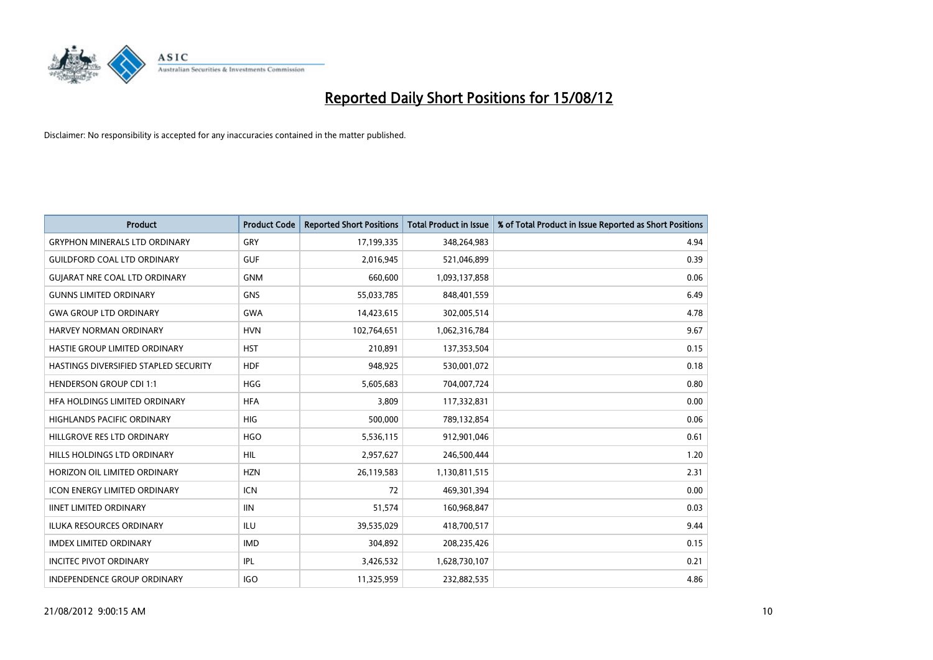

| <b>Product</b>                        | <b>Product Code</b> | <b>Reported Short Positions</b> | <b>Total Product in Issue</b> | % of Total Product in Issue Reported as Short Positions |
|---------------------------------------|---------------------|---------------------------------|-------------------------------|---------------------------------------------------------|
| <b>GRYPHON MINERALS LTD ORDINARY</b>  | <b>GRY</b>          | 17,199,335                      | 348,264,983                   | 4.94                                                    |
| <b>GUILDFORD COAL LTD ORDINARY</b>    | <b>GUF</b>          | 2,016,945                       | 521,046,899                   | 0.39                                                    |
| <b>GUIARAT NRE COAL LTD ORDINARY</b>  | <b>GNM</b>          | 660,600                         | 1,093,137,858                 | 0.06                                                    |
| <b>GUNNS LIMITED ORDINARY</b>         | <b>GNS</b>          | 55,033,785                      | 848,401,559                   | 6.49                                                    |
| <b>GWA GROUP LTD ORDINARY</b>         | <b>GWA</b>          | 14,423,615                      | 302,005,514                   | 4.78                                                    |
| <b>HARVEY NORMAN ORDINARY</b>         | <b>HVN</b>          | 102,764,651                     | 1,062,316,784                 | 9.67                                                    |
| HASTIE GROUP LIMITED ORDINARY         | <b>HST</b>          | 210,891                         | 137,353,504                   | 0.15                                                    |
| HASTINGS DIVERSIFIED STAPLED SECURITY | <b>HDF</b>          | 948,925                         | 530,001,072                   | 0.18                                                    |
| <b>HENDERSON GROUP CDI 1:1</b>        | <b>HGG</b>          | 5,605,683                       | 704,007,724                   | 0.80                                                    |
| HFA HOLDINGS LIMITED ORDINARY         | <b>HFA</b>          | 3,809                           | 117,332,831                   | 0.00                                                    |
| HIGHLANDS PACIFIC ORDINARY            | <b>HIG</b>          | 500,000                         | 789,132,854                   | 0.06                                                    |
| HILLGROVE RES LTD ORDINARY            | <b>HGO</b>          | 5,536,115                       | 912,901,046                   | 0.61                                                    |
| HILLS HOLDINGS LTD ORDINARY           | <b>HIL</b>          | 2,957,627                       | 246,500,444                   | 1.20                                                    |
| HORIZON OIL LIMITED ORDINARY          | <b>HZN</b>          | 26,119,583                      | 1,130,811,515                 | 2.31                                                    |
| <b>ICON ENERGY LIMITED ORDINARY</b>   | <b>ICN</b>          | 72                              | 469,301,394                   | 0.00                                                    |
| <b>IINET LIMITED ORDINARY</b>         | <b>IIN</b>          | 51,574                          | 160,968,847                   | 0.03                                                    |
| ILUKA RESOURCES ORDINARY              | ILU                 | 39,535,029                      | 418,700,517                   | 9.44                                                    |
| <b>IMDEX LIMITED ORDINARY</b>         | <b>IMD</b>          | 304,892                         | 208,235,426                   | 0.15                                                    |
| <b>INCITEC PIVOT ORDINARY</b>         | <b>IPL</b>          | 3,426,532                       | 1,628,730,107                 | 0.21                                                    |
| INDEPENDENCE GROUP ORDINARY           | <b>IGO</b>          | 11,325,959                      | 232,882,535                   | 4.86                                                    |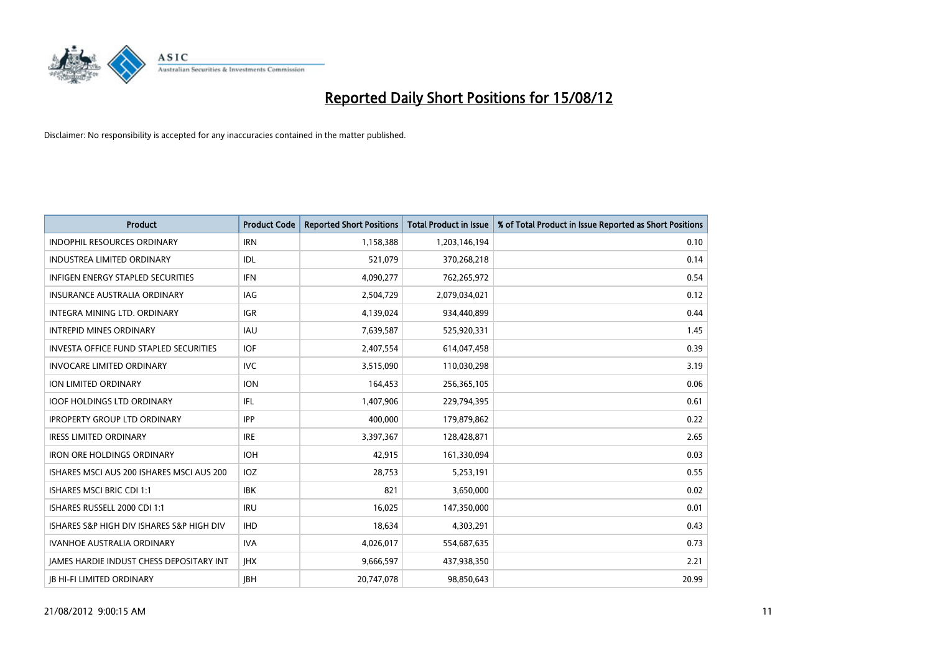

| <b>Product</b>                                  | <b>Product Code</b> | <b>Reported Short Positions</b> | <b>Total Product in Issue</b> | % of Total Product in Issue Reported as Short Positions |
|-------------------------------------------------|---------------------|---------------------------------|-------------------------------|---------------------------------------------------------|
| <b>INDOPHIL RESOURCES ORDINARY</b>              | <b>IRN</b>          | 1,158,388                       | 1,203,146,194                 | 0.10                                                    |
| INDUSTREA LIMITED ORDINARY                      | IDL                 | 521,079                         | 370,268,218                   | 0.14                                                    |
| <b>INFIGEN ENERGY STAPLED SECURITIES</b>        | <b>IFN</b>          | 4,090,277                       | 762,265,972                   | 0.54                                                    |
| INSURANCE AUSTRALIA ORDINARY                    | <b>IAG</b>          | 2,504,729                       | 2,079,034,021                 | 0.12                                                    |
| INTEGRA MINING LTD, ORDINARY                    | <b>IGR</b>          | 4,139,024                       | 934,440,899                   | 0.44                                                    |
| <b>INTREPID MINES ORDINARY</b>                  | <b>IAU</b>          | 7,639,587                       | 525,920,331                   | 1.45                                                    |
| <b>INVESTA OFFICE FUND STAPLED SECURITIES</b>   | <b>IOF</b>          | 2,407,554                       | 614,047,458                   | 0.39                                                    |
| <b>INVOCARE LIMITED ORDINARY</b>                | <b>IVC</b>          | 3,515,090                       | 110,030,298                   | 3.19                                                    |
| ION LIMITED ORDINARY                            | <b>ION</b>          | 164,453                         | 256,365,105                   | 0.06                                                    |
| <b>IOOF HOLDINGS LTD ORDINARY</b>               | IFL                 | 1,407,906                       | 229,794,395                   | 0.61                                                    |
| <b>IPROPERTY GROUP LTD ORDINARY</b>             | <b>IPP</b>          | 400,000                         | 179,879,862                   | 0.22                                                    |
| <b>IRESS LIMITED ORDINARY</b>                   | <b>IRE</b>          | 3,397,367                       | 128,428,871                   | 2.65                                                    |
| <b>IRON ORE HOLDINGS ORDINARY</b>               | <b>IOH</b>          | 42,915                          | 161,330,094                   | 0.03                                                    |
| ISHARES MSCI AUS 200 ISHARES MSCI AUS 200       | <b>IOZ</b>          | 28,753                          | 5,253,191                     | 0.55                                                    |
| <b>ISHARES MSCI BRIC CDI 1:1</b>                | <b>IBK</b>          | 821                             | 3,650,000                     | 0.02                                                    |
| ISHARES RUSSELL 2000 CDI 1:1                    | <b>IRU</b>          | 16,025                          | 147,350,000                   | 0.01                                                    |
| ISHARES S&P HIGH DIV ISHARES S&P HIGH DIV       | <b>IHD</b>          | 18,634                          | 4,303,291                     | 0.43                                                    |
| <b>IVANHOE AUSTRALIA ORDINARY</b>               | <b>IVA</b>          | 4,026,017                       | 554,687,635                   | 0.73                                                    |
| <b>IAMES HARDIE INDUST CHESS DEPOSITARY INT</b> | <b>IHX</b>          | 9,666,597                       | 437,938,350                   | 2.21                                                    |
| <b>IB HI-FI LIMITED ORDINARY</b>                | <b>IBH</b>          | 20,747,078                      | 98,850,643                    | 20.99                                                   |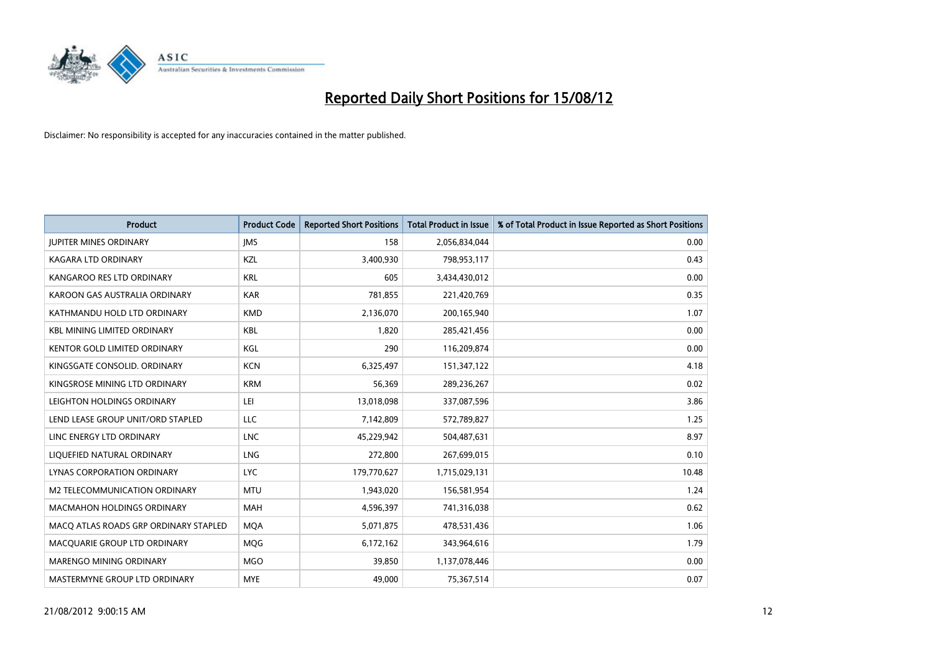

| <b>Product</b>                        | <b>Product Code</b> | <b>Reported Short Positions</b> | <b>Total Product in Issue</b> | % of Total Product in Issue Reported as Short Positions |
|---------------------------------------|---------------------|---------------------------------|-------------------------------|---------------------------------------------------------|
| <b>JUPITER MINES ORDINARY</b>         | <b>IMS</b>          | 158                             | 2,056,834,044                 | 0.00                                                    |
| KAGARA LTD ORDINARY                   | <b>KZL</b>          | 3,400,930                       | 798,953,117                   | 0.43                                                    |
| KANGAROO RES LTD ORDINARY             | <b>KRL</b>          | 605                             | 3,434,430,012                 | 0.00                                                    |
| KAROON GAS AUSTRALIA ORDINARY         | <b>KAR</b>          | 781,855                         | 221,420,769                   | 0.35                                                    |
| KATHMANDU HOLD LTD ORDINARY           | <b>KMD</b>          | 2,136,070                       | 200,165,940                   | 1.07                                                    |
| <b>KBL MINING LIMITED ORDINARY</b>    | <b>KBL</b>          | 1.820                           | 285,421,456                   | 0.00                                                    |
| KENTOR GOLD LIMITED ORDINARY          | KGL                 | 290                             | 116,209,874                   | 0.00                                                    |
| KINGSGATE CONSOLID. ORDINARY          | <b>KCN</b>          | 6,325,497                       | 151,347,122                   | 4.18                                                    |
| KINGSROSE MINING LTD ORDINARY         | <b>KRM</b>          | 56,369                          | 289,236,267                   | 0.02                                                    |
| LEIGHTON HOLDINGS ORDINARY            | LEI                 | 13,018,098                      | 337,087,596                   | 3.86                                                    |
| LEND LEASE GROUP UNIT/ORD STAPLED     | LLC                 | 7,142,809                       | 572,789,827                   | 1.25                                                    |
| LINC ENERGY LTD ORDINARY              | <b>LNC</b>          | 45,229,942                      | 504,487,631                   | 8.97                                                    |
| LIQUEFIED NATURAL ORDINARY            | <b>LNG</b>          | 272,800                         | 267,699,015                   | 0.10                                                    |
| LYNAS CORPORATION ORDINARY            | <b>LYC</b>          | 179,770,627                     | 1,715,029,131                 | 10.48                                                   |
| M2 TELECOMMUNICATION ORDINARY         | <b>MTU</b>          | 1,943,020                       | 156,581,954                   | 1.24                                                    |
| <b>MACMAHON HOLDINGS ORDINARY</b>     | <b>MAH</b>          | 4,596,397                       | 741,316,038                   | 0.62                                                    |
| MACO ATLAS ROADS GRP ORDINARY STAPLED | <b>MOA</b>          | 5,071,875                       | 478,531,436                   | 1.06                                                    |
| MACQUARIE GROUP LTD ORDINARY          | <b>MOG</b>          | 6,172,162                       | 343,964,616                   | 1.79                                                    |
| <b>MARENGO MINING ORDINARY</b>        | <b>MGO</b>          | 39,850                          | 1,137,078,446                 | 0.00                                                    |
| MASTERMYNE GROUP LTD ORDINARY         | <b>MYE</b>          | 49,000                          | 75,367,514                    | 0.07                                                    |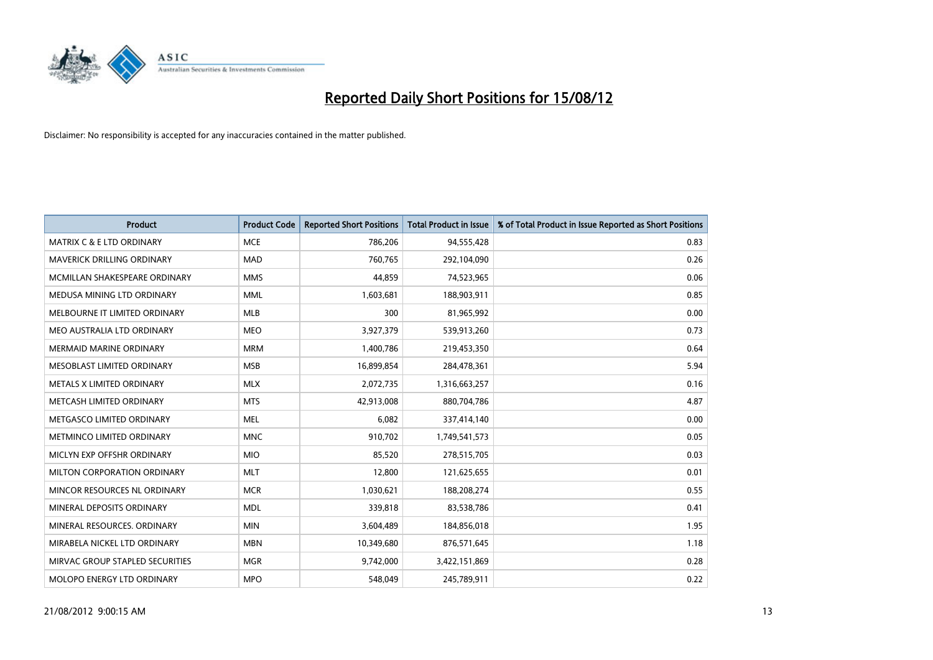

| <b>Product</b>                       | <b>Product Code</b> | <b>Reported Short Positions</b> | <b>Total Product in Issue</b> | % of Total Product in Issue Reported as Short Positions |
|--------------------------------------|---------------------|---------------------------------|-------------------------------|---------------------------------------------------------|
| <b>MATRIX C &amp; E LTD ORDINARY</b> | <b>MCE</b>          | 786,206                         | 94,555,428                    | 0.83                                                    |
| MAVERICK DRILLING ORDINARY           | <b>MAD</b>          | 760,765                         | 292,104,090                   | 0.26                                                    |
| MCMILLAN SHAKESPEARE ORDINARY        | <b>MMS</b>          | 44,859                          | 74,523,965                    | 0.06                                                    |
| MEDUSA MINING LTD ORDINARY           | <b>MML</b>          | 1,603,681                       | 188,903,911                   | 0.85                                                    |
| MELBOURNE IT LIMITED ORDINARY        | <b>MLB</b>          | 300                             | 81,965,992                    | 0.00                                                    |
| MEO AUSTRALIA LTD ORDINARY           | <b>MEO</b>          | 3,927,379                       | 539,913,260                   | 0.73                                                    |
| <b>MERMAID MARINE ORDINARY</b>       | <b>MRM</b>          | 1,400,786                       | 219,453,350                   | 0.64                                                    |
| MESOBLAST LIMITED ORDINARY           | <b>MSB</b>          | 16,899,854                      | 284,478,361                   | 5.94                                                    |
| METALS X LIMITED ORDINARY            | <b>MLX</b>          | 2,072,735                       | 1,316,663,257                 | 0.16                                                    |
| METCASH LIMITED ORDINARY             | <b>MTS</b>          | 42,913,008                      | 880,704,786                   | 4.87                                                    |
| METGASCO LIMITED ORDINARY            | <b>MEL</b>          | 6,082                           | 337,414,140                   | 0.00                                                    |
| METMINCO LIMITED ORDINARY            | <b>MNC</b>          | 910,702                         | 1,749,541,573                 | 0.05                                                    |
| MICLYN EXP OFFSHR ORDINARY           | <b>MIO</b>          | 85,520                          | 278,515,705                   | 0.03                                                    |
| MILTON CORPORATION ORDINARY          | <b>MLT</b>          | 12,800                          | 121,625,655                   | 0.01                                                    |
| MINCOR RESOURCES NL ORDINARY         | <b>MCR</b>          | 1,030,621                       | 188,208,274                   | 0.55                                                    |
| MINERAL DEPOSITS ORDINARY            | <b>MDL</b>          | 339,818                         | 83,538,786                    | 0.41                                                    |
| MINERAL RESOURCES. ORDINARY          | <b>MIN</b>          | 3,604,489                       | 184,856,018                   | 1.95                                                    |
| MIRABELA NICKEL LTD ORDINARY         | <b>MBN</b>          | 10,349,680                      | 876,571,645                   | 1.18                                                    |
| MIRVAC GROUP STAPLED SECURITIES      | <b>MGR</b>          | 9,742,000                       | 3,422,151,869                 | 0.28                                                    |
| MOLOPO ENERGY LTD ORDINARY           | <b>MPO</b>          | 548,049                         | 245,789,911                   | 0.22                                                    |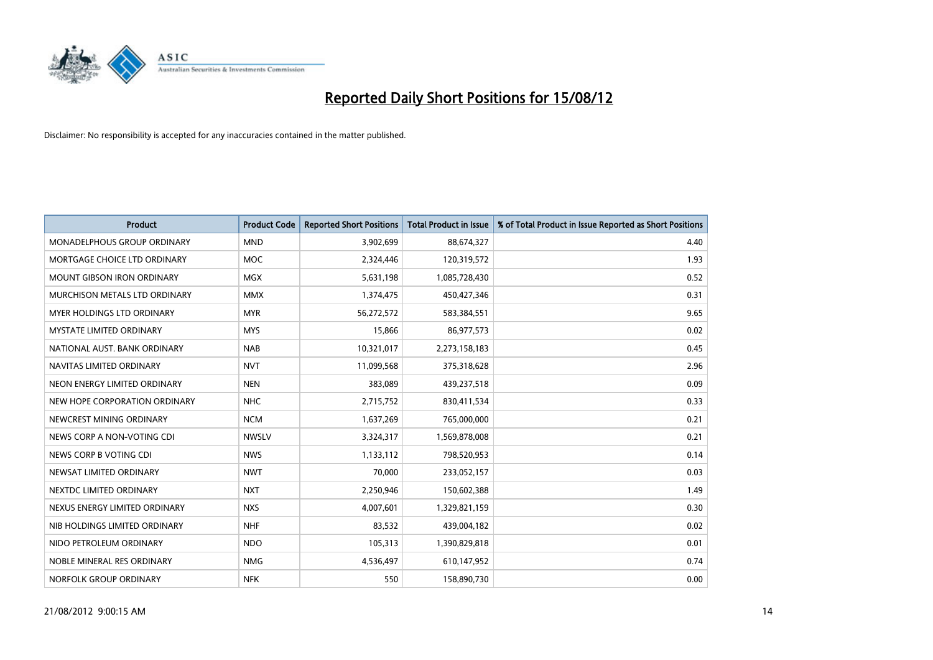

| <b>Product</b>                    | <b>Product Code</b> | <b>Reported Short Positions</b> | <b>Total Product in Issue</b> | % of Total Product in Issue Reported as Short Positions |
|-----------------------------------|---------------------|---------------------------------|-------------------------------|---------------------------------------------------------|
| MONADELPHOUS GROUP ORDINARY       | <b>MND</b>          | 3,902,699                       | 88,674,327                    | 4.40                                                    |
| MORTGAGE CHOICE LTD ORDINARY      | <b>MOC</b>          | 2,324,446                       | 120,319,572                   | 1.93                                                    |
| <b>MOUNT GIBSON IRON ORDINARY</b> | <b>MGX</b>          | 5,631,198                       | 1,085,728,430                 | 0.52                                                    |
| MURCHISON METALS LTD ORDINARY     | <b>MMX</b>          | 1,374,475                       | 450,427,346                   | 0.31                                                    |
| MYER HOLDINGS LTD ORDINARY        | <b>MYR</b>          | 56,272,572                      | 583,384,551                   | 9.65                                                    |
| <b>MYSTATE LIMITED ORDINARY</b>   | <b>MYS</b>          | 15,866                          | 86,977,573                    | 0.02                                                    |
| NATIONAL AUST. BANK ORDINARY      | <b>NAB</b>          | 10,321,017                      | 2,273,158,183                 | 0.45                                                    |
| NAVITAS LIMITED ORDINARY          | <b>NVT</b>          | 11,099,568                      | 375,318,628                   | 2.96                                                    |
| NEON ENERGY LIMITED ORDINARY      | <b>NEN</b>          | 383,089                         | 439,237,518                   | 0.09                                                    |
| NEW HOPE CORPORATION ORDINARY     | <b>NHC</b>          | 2,715,752                       | 830,411,534                   | 0.33                                                    |
| NEWCREST MINING ORDINARY          | <b>NCM</b>          | 1,637,269                       | 765,000,000                   | 0.21                                                    |
| NEWS CORP A NON-VOTING CDI        | <b>NWSLV</b>        | 3,324,317                       | 1,569,878,008                 | 0.21                                                    |
| NEWS CORP B VOTING CDI            | <b>NWS</b>          | 1,133,112                       | 798,520,953                   | 0.14                                                    |
| NEWSAT LIMITED ORDINARY           | <b>NWT</b>          | 70,000                          | 233,052,157                   | 0.03                                                    |
| NEXTDC LIMITED ORDINARY           | <b>NXT</b>          | 2,250,946                       | 150,602,388                   | 1.49                                                    |
| NEXUS ENERGY LIMITED ORDINARY     | <b>NXS</b>          | 4,007,601                       | 1,329,821,159                 | 0.30                                                    |
| NIB HOLDINGS LIMITED ORDINARY     | <b>NHF</b>          | 83,532                          | 439,004,182                   | 0.02                                                    |
| NIDO PETROLEUM ORDINARY           | <b>NDO</b>          | 105,313                         | 1,390,829,818                 | 0.01                                                    |
| NOBLE MINERAL RES ORDINARY        | <b>NMG</b>          | 4,536,497                       | 610,147,952                   | 0.74                                                    |
| NORFOLK GROUP ORDINARY            | <b>NFK</b>          | 550                             | 158,890,730                   | 0.00                                                    |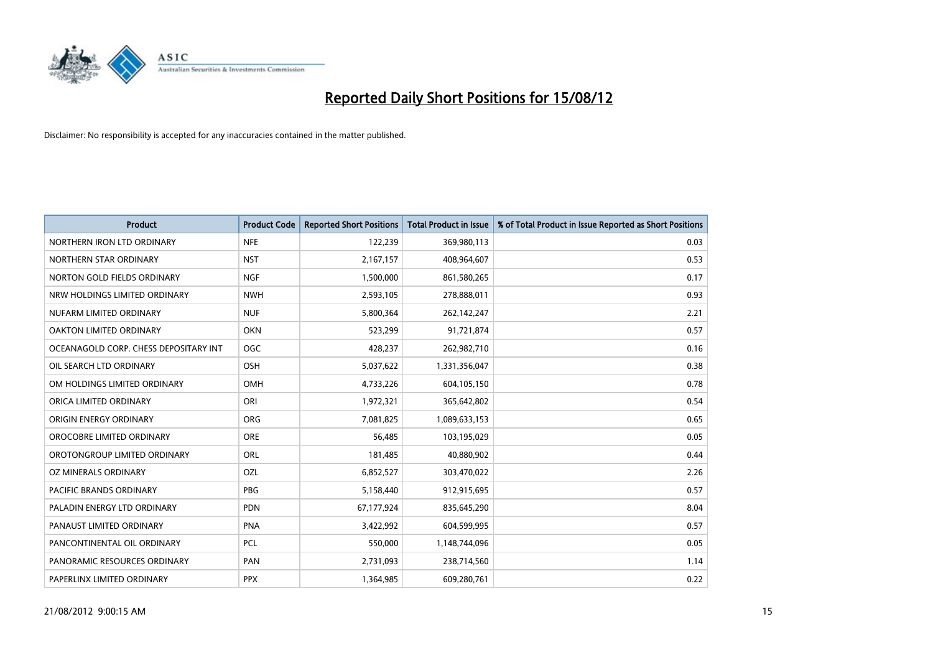

| <b>Product</b>                        | <b>Product Code</b> | <b>Reported Short Positions</b> | <b>Total Product in Issue</b> | % of Total Product in Issue Reported as Short Positions |
|---------------------------------------|---------------------|---------------------------------|-------------------------------|---------------------------------------------------------|
| NORTHERN IRON LTD ORDINARY            | <b>NFE</b>          | 122,239                         | 369,980,113                   | 0.03                                                    |
| NORTHERN STAR ORDINARY                | <b>NST</b>          | 2,167,157                       | 408,964,607                   | 0.53                                                    |
| NORTON GOLD FIELDS ORDINARY           | <b>NGF</b>          | 1,500,000                       | 861,580,265                   | 0.17                                                    |
| NRW HOLDINGS LIMITED ORDINARY         | <b>NWH</b>          | 2,593,105                       | 278,888,011                   | 0.93                                                    |
| NUFARM LIMITED ORDINARY               | <b>NUF</b>          | 5,800,364                       | 262,142,247                   | 2.21                                                    |
| OAKTON LIMITED ORDINARY               | <b>OKN</b>          | 523,299                         | 91,721,874                    | 0.57                                                    |
| OCEANAGOLD CORP. CHESS DEPOSITARY INT | <b>OGC</b>          | 428,237                         | 262,982,710                   | 0.16                                                    |
| OIL SEARCH LTD ORDINARY               | OSH                 | 5,037,622                       | 1,331,356,047                 | 0.38                                                    |
| OM HOLDINGS LIMITED ORDINARY          | OMH                 | 4,733,226                       | 604,105,150                   | 0.78                                                    |
| ORICA LIMITED ORDINARY                | ORI                 | 1,972,321                       | 365,642,802                   | 0.54                                                    |
| ORIGIN ENERGY ORDINARY                | <b>ORG</b>          | 7,081,825                       | 1,089,633,153                 | 0.65                                                    |
| OROCOBRE LIMITED ORDINARY             | <b>ORE</b>          | 56,485                          | 103,195,029                   | 0.05                                                    |
| OROTONGROUP LIMITED ORDINARY          | ORL                 | 181,485                         | 40,880,902                    | 0.44                                                    |
| OZ MINERALS ORDINARY                  | OZL                 | 6,852,527                       | 303,470,022                   | 2.26                                                    |
| <b>PACIFIC BRANDS ORDINARY</b>        | PBG                 | 5,158,440                       | 912,915,695                   | 0.57                                                    |
| PALADIN ENERGY LTD ORDINARY           | <b>PDN</b>          | 67,177,924                      | 835,645,290                   | 8.04                                                    |
| PANAUST LIMITED ORDINARY              | <b>PNA</b>          | 3,422,992                       | 604,599,995                   | 0.57                                                    |
| PANCONTINENTAL OIL ORDINARY           | <b>PCL</b>          | 550,000                         | 1,148,744,096                 | 0.05                                                    |
| PANORAMIC RESOURCES ORDINARY          | PAN                 | 2,731,093                       | 238,714,560                   | 1.14                                                    |
| PAPERLINX LIMITED ORDINARY            | <b>PPX</b>          | 1,364,985                       | 609,280,761                   | 0.22                                                    |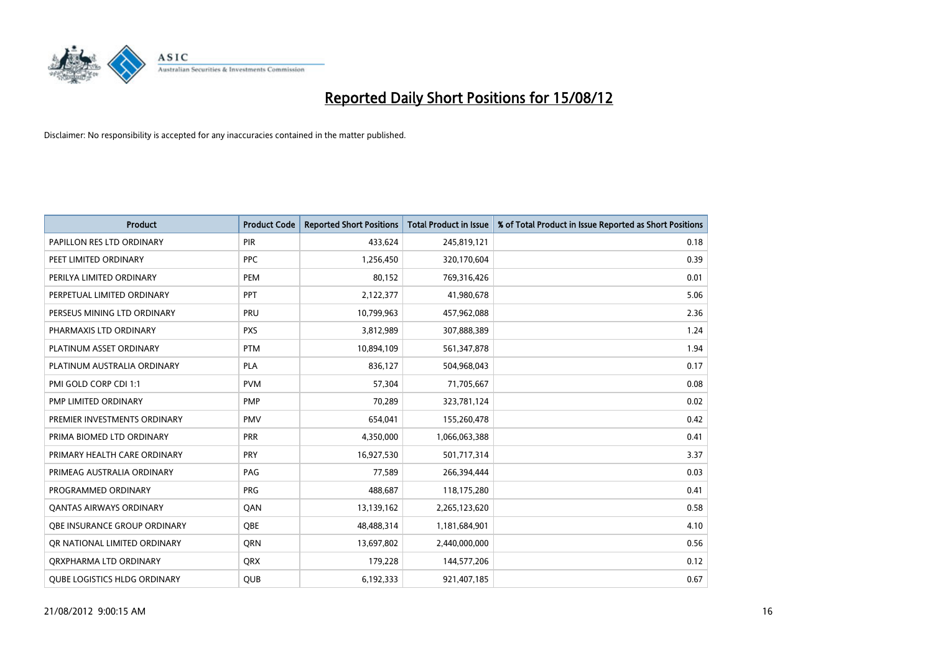

| <b>Product</b>                      | <b>Product Code</b> | <b>Reported Short Positions</b> | <b>Total Product in Issue</b> | % of Total Product in Issue Reported as Short Positions |
|-------------------------------------|---------------------|---------------------------------|-------------------------------|---------------------------------------------------------|
| PAPILLON RES LTD ORDINARY           | <b>PIR</b>          | 433,624                         | 245,819,121                   | 0.18                                                    |
| PEET LIMITED ORDINARY               | <b>PPC</b>          | 1,256,450                       | 320,170,604                   | 0.39                                                    |
| PERILYA LIMITED ORDINARY            | PEM                 | 80,152                          | 769,316,426                   | 0.01                                                    |
| PERPETUAL LIMITED ORDINARY          | <b>PPT</b>          | 2,122,377                       | 41,980,678                    | 5.06                                                    |
| PERSEUS MINING LTD ORDINARY         | PRU                 | 10,799,963                      | 457,962,088                   | 2.36                                                    |
| PHARMAXIS LTD ORDINARY              | <b>PXS</b>          | 3,812,989                       | 307,888,389                   | 1.24                                                    |
| PLATINUM ASSET ORDINARY             | <b>PTM</b>          | 10,894,109                      | 561,347,878                   | 1.94                                                    |
| PLATINUM AUSTRALIA ORDINARY         | <b>PLA</b>          | 836,127                         | 504,968,043                   | 0.17                                                    |
| PMI GOLD CORP CDI 1:1               | <b>PVM</b>          | 57,304                          | 71,705,667                    | 0.08                                                    |
| PMP LIMITED ORDINARY                | <b>PMP</b>          | 70,289                          | 323,781,124                   | 0.02                                                    |
| PREMIER INVESTMENTS ORDINARY        | <b>PMV</b>          | 654,041                         | 155,260,478                   | 0.42                                                    |
| PRIMA BIOMED LTD ORDINARY           | PRR                 | 4,350,000                       | 1,066,063,388                 | 0.41                                                    |
| PRIMARY HEALTH CARE ORDINARY        | <b>PRY</b>          | 16,927,530                      | 501,717,314                   | 3.37                                                    |
| PRIMEAG AUSTRALIA ORDINARY          | PAG                 | 77,589                          | 266,394,444                   | 0.03                                                    |
| PROGRAMMED ORDINARY                 | <b>PRG</b>          | 488,687                         | 118,175,280                   | 0.41                                                    |
| <b>QANTAS AIRWAYS ORDINARY</b>      | QAN                 | 13,139,162                      | 2,265,123,620                 | 0.58                                                    |
| <b>OBE INSURANCE GROUP ORDINARY</b> | <b>OBE</b>          | 48,488,314                      | 1,181,684,901                 | 4.10                                                    |
| OR NATIONAL LIMITED ORDINARY        | <b>ORN</b>          | 13,697,802                      | 2,440,000,000                 | 0.56                                                    |
| ORXPHARMA LTD ORDINARY              | <b>ORX</b>          | 179,228                         | 144,577,206                   | 0.12                                                    |
| <b>QUBE LOGISTICS HLDG ORDINARY</b> | QUB                 | 6,192,333                       | 921,407,185                   | 0.67                                                    |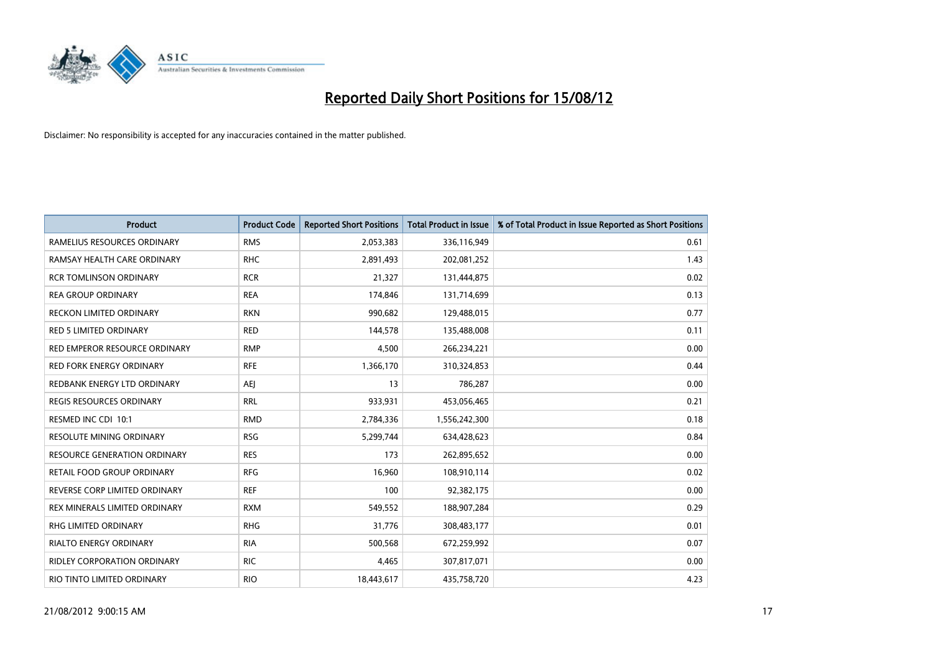

| <b>Product</b>                     | <b>Product Code</b> | <b>Reported Short Positions</b> | <b>Total Product in Issue</b> | % of Total Product in Issue Reported as Short Positions |
|------------------------------------|---------------------|---------------------------------|-------------------------------|---------------------------------------------------------|
| RAMELIUS RESOURCES ORDINARY        | <b>RMS</b>          | 2,053,383                       | 336,116,949                   | 0.61                                                    |
| RAMSAY HEALTH CARE ORDINARY        | <b>RHC</b>          | 2,891,493                       | 202,081,252                   | 1.43                                                    |
| <b>RCR TOMLINSON ORDINARY</b>      | <b>RCR</b>          | 21,327                          | 131,444,875                   | 0.02                                                    |
| <b>REA GROUP ORDINARY</b>          | <b>REA</b>          | 174,846                         | 131,714,699                   | 0.13                                                    |
| RECKON LIMITED ORDINARY            | <b>RKN</b>          | 990,682                         | 129,488,015                   | 0.77                                                    |
| <b>RED 5 LIMITED ORDINARY</b>      | <b>RED</b>          | 144,578                         | 135,488,008                   | 0.11                                                    |
| RED EMPEROR RESOURCE ORDINARY      | <b>RMP</b>          | 4,500                           | 266,234,221                   | 0.00                                                    |
| RED FORK ENERGY ORDINARY           | <b>RFE</b>          | 1,366,170                       | 310,324,853                   | 0.44                                                    |
| REDBANK ENERGY LTD ORDINARY        | AEJ                 | 13                              | 786,287                       | 0.00                                                    |
| <b>REGIS RESOURCES ORDINARY</b>    | <b>RRL</b>          | 933,931                         | 453,056,465                   | 0.21                                                    |
| RESMED INC CDI 10:1                | <b>RMD</b>          | 2,784,336                       | 1,556,242,300                 | 0.18                                                    |
| <b>RESOLUTE MINING ORDINARY</b>    | <b>RSG</b>          | 5,299,744                       | 634,428,623                   | 0.84                                                    |
| RESOURCE GENERATION ORDINARY       | <b>RES</b>          | 173                             | 262,895,652                   | 0.00                                                    |
| RETAIL FOOD GROUP ORDINARY         | <b>RFG</b>          | 16,960                          | 108,910,114                   | 0.02                                                    |
| REVERSE CORP LIMITED ORDINARY      | <b>REF</b>          | 100                             | 92,382,175                    | 0.00                                                    |
| REX MINERALS LIMITED ORDINARY      | <b>RXM</b>          | 549,552                         | 188,907,284                   | 0.29                                                    |
| RHG LIMITED ORDINARY               | <b>RHG</b>          | 31,776                          | 308,483,177                   | 0.01                                                    |
| RIALTO ENERGY ORDINARY             | <b>RIA</b>          | 500,568                         | 672,259,992                   | 0.07                                                    |
| <b>RIDLEY CORPORATION ORDINARY</b> | <b>RIC</b>          | 4,465                           | 307,817,071                   | 0.00                                                    |
| RIO TINTO LIMITED ORDINARY         | <b>RIO</b>          | 18,443,617                      | 435,758,720                   | 4.23                                                    |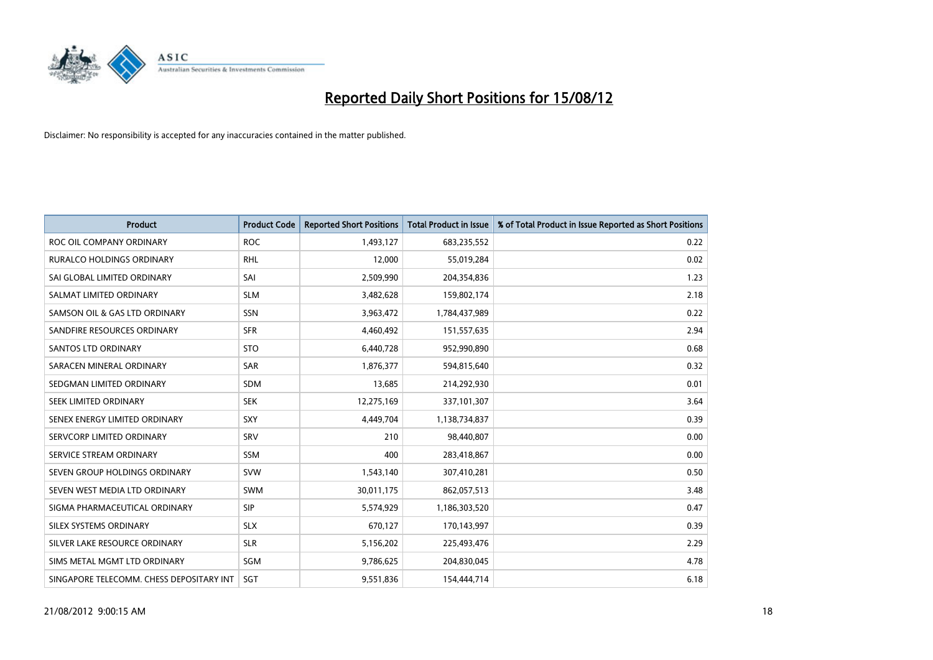

| <b>Product</b>                           | <b>Product Code</b> | <b>Reported Short Positions</b> | <b>Total Product in Issue</b> | % of Total Product in Issue Reported as Short Positions |
|------------------------------------------|---------------------|---------------------------------|-------------------------------|---------------------------------------------------------|
| ROC OIL COMPANY ORDINARY                 | <b>ROC</b>          | 1,493,127                       | 683,235,552                   | 0.22                                                    |
| RURALCO HOLDINGS ORDINARY                | <b>RHL</b>          | 12,000                          | 55,019,284                    | 0.02                                                    |
| SAI GLOBAL LIMITED ORDINARY              | SAI                 | 2,509,990                       | 204,354,836                   | 1.23                                                    |
| SALMAT LIMITED ORDINARY                  | <b>SLM</b>          | 3,482,628                       | 159,802,174                   | 2.18                                                    |
| SAMSON OIL & GAS LTD ORDINARY            | SSN                 | 3,963,472                       | 1,784,437,989                 | 0.22                                                    |
| SANDFIRE RESOURCES ORDINARY              | <b>SFR</b>          | 4,460,492                       | 151,557,635                   | 2.94                                                    |
| SANTOS LTD ORDINARY                      | <b>STO</b>          | 6,440,728                       | 952,990,890                   | 0.68                                                    |
| SARACEN MINERAL ORDINARY                 | SAR                 | 1,876,377                       | 594,815,640                   | 0.32                                                    |
| SEDGMAN LIMITED ORDINARY                 | <b>SDM</b>          | 13,685                          | 214,292,930                   | 0.01                                                    |
| SEEK LIMITED ORDINARY                    | <b>SEK</b>          | 12,275,169                      | 337,101,307                   | 3.64                                                    |
| SENEX ENERGY LIMITED ORDINARY            | <b>SXY</b>          | 4,449,704                       | 1,138,734,837                 | 0.39                                                    |
| SERVCORP LIMITED ORDINARY                | SRV                 | 210                             | 98,440,807                    | 0.00                                                    |
| SERVICE STREAM ORDINARY                  | <b>SSM</b>          | 400                             | 283,418,867                   | 0.00                                                    |
| SEVEN GROUP HOLDINGS ORDINARY            | <b>SVW</b>          | 1,543,140                       | 307,410,281                   | 0.50                                                    |
| SEVEN WEST MEDIA LTD ORDINARY            | <b>SWM</b>          | 30,011,175                      | 862,057,513                   | 3.48                                                    |
| SIGMA PHARMACEUTICAL ORDINARY            | <b>SIP</b>          | 5,574,929                       | 1,186,303,520                 | 0.47                                                    |
| SILEX SYSTEMS ORDINARY                   | <b>SLX</b>          | 670,127                         | 170,143,997                   | 0.39                                                    |
| SILVER LAKE RESOURCE ORDINARY            | <b>SLR</b>          | 5,156,202                       | 225,493,476                   | 2.29                                                    |
| SIMS METAL MGMT LTD ORDINARY             | SGM                 | 9,786,625                       | 204,830,045                   | 4.78                                                    |
| SINGAPORE TELECOMM. CHESS DEPOSITARY INT | SGT                 | 9,551,836                       | 154,444,714                   | 6.18                                                    |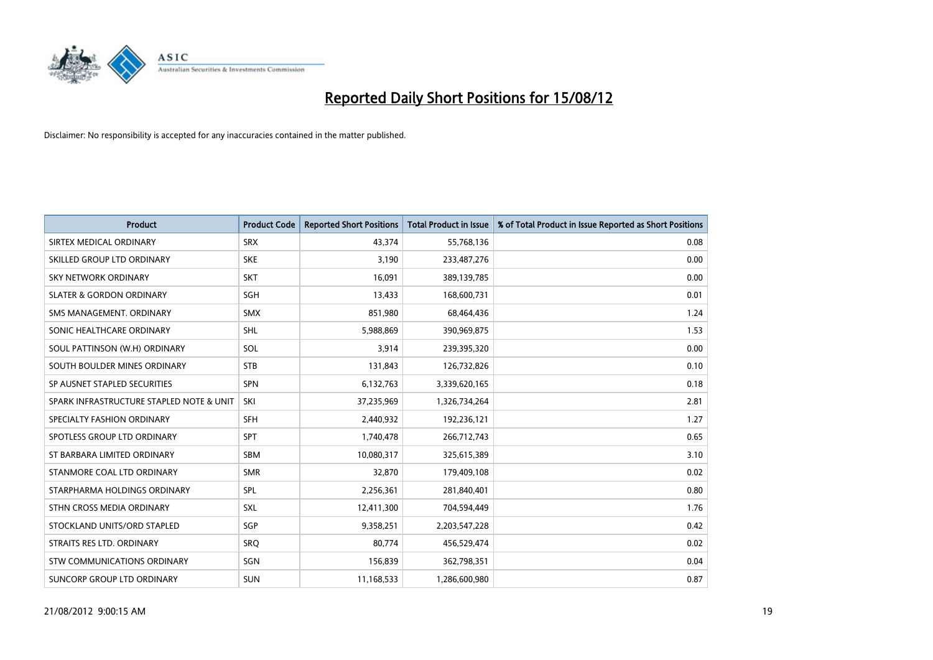

| <b>Product</b>                           | <b>Product Code</b> | <b>Reported Short Positions</b> | <b>Total Product in Issue</b> | % of Total Product in Issue Reported as Short Positions |
|------------------------------------------|---------------------|---------------------------------|-------------------------------|---------------------------------------------------------|
| SIRTEX MEDICAL ORDINARY                  | <b>SRX</b>          | 43,374                          | 55,768,136                    | 0.08                                                    |
| SKILLED GROUP LTD ORDINARY               | <b>SKE</b>          | 3,190                           | 233,487,276                   | 0.00                                                    |
| <b>SKY NETWORK ORDINARY</b>              | <b>SKT</b>          | 16,091                          | 389,139,785                   | 0.00                                                    |
| <b>SLATER &amp; GORDON ORDINARY</b>      | SGH                 | 13,433                          | 168,600,731                   | 0.01                                                    |
| SMS MANAGEMENT, ORDINARY                 | <b>SMX</b>          | 851,980                         | 68,464,436                    | 1.24                                                    |
| SONIC HEALTHCARE ORDINARY                | <b>SHL</b>          | 5,988,869                       | 390,969,875                   | 1.53                                                    |
| SOUL PATTINSON (W.H) ORDINARY            | SOL                 | 3,914                           | 239,395,320                   | 0.00                                                    |
| SOUTH BOULDER MINES ORDINARY             | <b>STB</b>          | 131,843                         | 126,732,826                   | 0.10                                                    |
| SP AUSNET STAPLED SECURITIES             | <b>SPN</b>          | 6,132,763                       | 3,339,620,165                 | 0.18                                                    |
| SPARK INFRASTRUCTURE STAPLED NOTE & UNIT | SKI                 | 37,235,969                      | 1,326,734,264                 | 2.81                                                    |
| SPECIALTY FASHION ORDINARY               | <b>SFH</b>          | 2,440,932                       | 192,236,121                   | 1.27                                                    |
| SPOTLESS GROUP LTD ORDINARY              | <b>SPT</b>          | 1,740,478                       | 266,712,743                   | 0.65                                                    |
| ST BARBARA LIMITED ORDINARY              | <b>SBM</b>          | 10,080,317                      | 325,615,389                   | 3.10                                                    |
| STANMORE COAL LTD ORDINARY               | <b>SMR</b>          | 32,870                          | 179,409,108                   | 0.02                                                    |
| STARPHARMA HOLDINGS ORDINARY             | <b>SPL</b>          | 2,256,361                       | 281,840,401                   | 0.80                                                    |
| STHN CROSS MEDIA ORDINARY                | SXL                 | 12,411,300                      | 704,594,449                   | 1.76                                                    |
| STOCKLAND UNITS/ORD STAPLED              | SGP                 | 9,358,251                       | 2,203,547,228                 | 0.42                                                    |
| STRAITS RES LTD. ORDINARY                | SRQ                 | 80,774                          | 456,529,474                   | 0.02                                                    |
| STW COMMUNICATIONS ORDINARY              | SGN                 | 156,839                         | 362,798,351                   | 0.04                                                    |
| SUNCORP GROUP LTD ORDINARY               | <b>SUN</b>          | 11,168,533                      | 1,286,600,980                 | 0.87                                                    |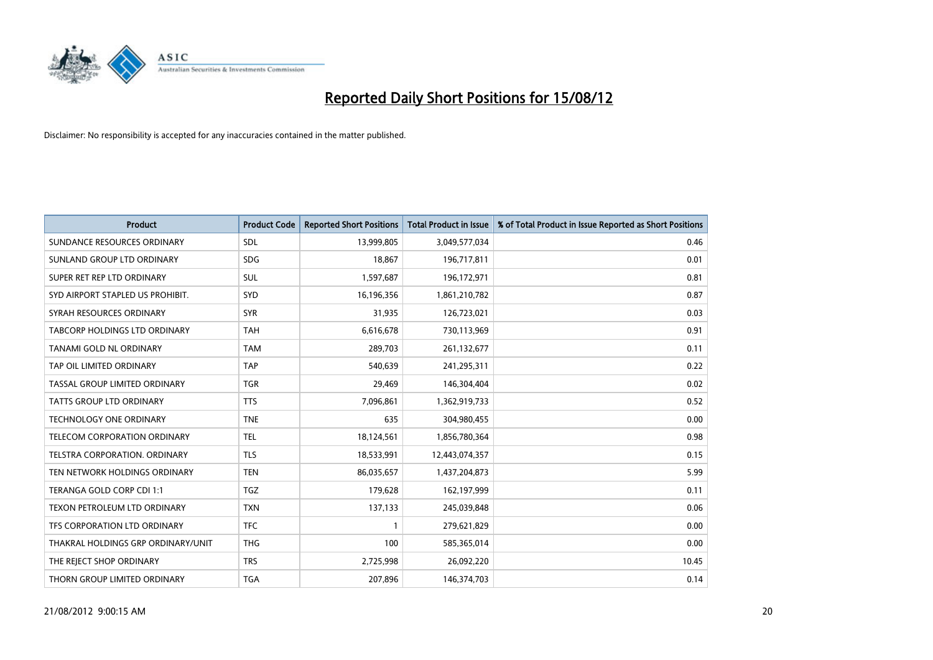

| <b>Product</b>                       | <b>Product Code</b> | <b>Reported Short Positions</b> | <b>Total Product in Issue</b> | % of Total Product in Issue Reported as Short Positions |
|--------------------------------------|---------------------|---------------------------------|-------------------------------|---------------------------------------------------------|
| SUNDANCE RESOURCES ORDINARY          | <b>SDL</b>          | 13,999,805                      | 3,049,577,034                 | 0.46                                                    |
| SUNLAND GROUP LTD ORDINARY           | <b>SDG</b>          | 18,867                          | 196,717,811                   | 0.01                                                    |
| SUPER RET REP LTD ORDINARY           | <b>SUL</b>          | 1,597,687                       | 196,172,971                   | 0.81                                                    |
| SYD AIRPORT STAPLED US PROHIBIT.     | <b>SYD</b>          | 16,196,356                      | 1,861,210,782                 | 0.87                                                    |
| SYRAH RESOURCES ORDINARY             | <b>SYR</b>          | 31,935                          | 126,723,021                   | 0.03                                                    |
| <b>TABCORP HOLDINGS LTD ORDINARY</b> | <b>TAH</b>          | 6,616,678                       | 730,113,969                   | 0.91                                                    |
| <b>TANAMI GOLD NL ORDINARY</b>       | <b>TAM</b>          | 289,703                         | 261,132,677                   | 0.11                                                    |
| TAP OIL LIMITED ORDINARY             | <b>TAP</b>          | 540,639                         | 241,295,311                   | 0.22                                                    |
| TASSAL GROUP LIMITED ORDINARY        | <b>TGR</b>          | 29,469                          | 146,304,404                   | 0.02                                                    |
| <b>TATTS GROUP LTD ORDINARY</b>      | <b>TTS</b>          | 7,096,861                       | 1,362,919,733                 | 0.52                                                    |
| <b>TECHNOLOGY ONE ORDINARY</b>       | <b>TNE</b>          | 635                             | 304,980,455                   | 0.00                                                    |
| <b>TELECOM CORPORATION ORDINARY</b>  | <b>TEL</b>          | 18,124,561                      | 1,856,780,364                 | 0.98                                                    |
| TELSTRA CORPORATION. ORDINARY        | <b>TLS</b>          | 18,533,991                      | 12,443,074,357                | 0.15                                                    |
| TEN NETWORK HOLDINGS ORDINARY        | <b>TEN</b>          | 86,035,657                      | 1,437,204,873                 | 5.99                                                    |
| TERANGA GOLD CORP CDI 1:1            | <b>TGZ</b>          | 179,628                         | 162,197,999                   | 0.11                                                    |
| TEXON PETROLEUM LTD ORDINARY         | <b>TXN</b>          | 137,133                         | 245,039,848                   | 0.06                                                    |
| TFS CORPORATION LTD ORDINARY         | <b>TFC</b>          |                                 | 279,621,829                   | 0.00                                                    |
| THAKRAL HOLDINGS GRP ORDINARY/UNIT   | <b>THG</b>          | 100                             | 585,365,014                   | 0.00                                                    |
| THE REJECT SHOP ORDINARY             | <b>TRS</b>          | 2,725,998                       | 26,092,220                    | 10.45                                                   |
| THORN GROUP LIMITED ORDINARY         | <b>TGA</b>          | 207,896                         | 146,374,703                   | 0.14                                                    |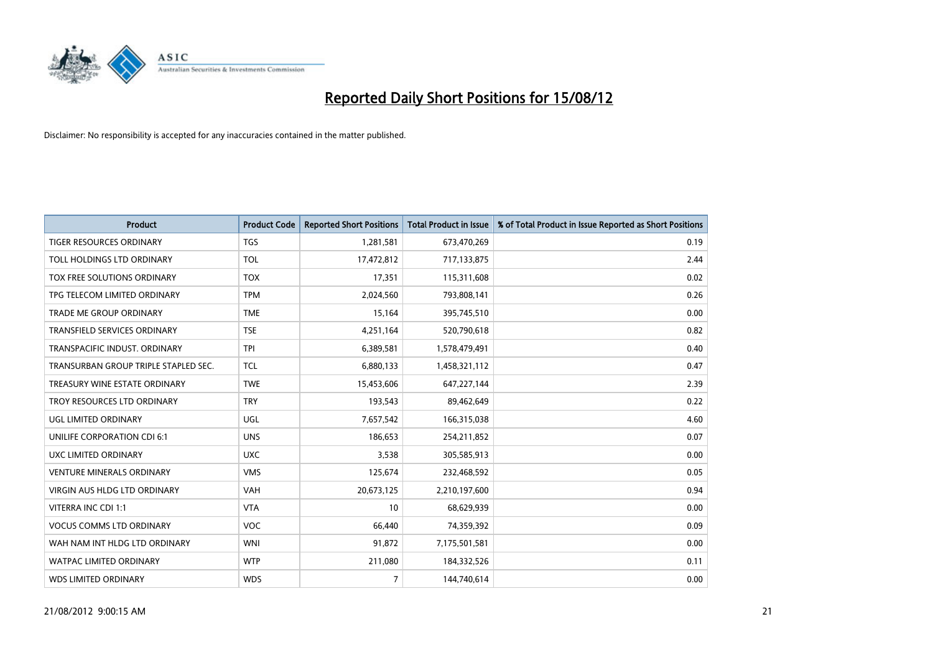

| <b>Product</b>                       | <b>Product Code</b> | <b>Reported Short Positions</b> | <b>Total Product in Issue</b> | % of Total Product in Issue Reported as Short Positions |
|--------------------------------------|---------------------|---------------------------------|-------------------------------|---------------------------------------------------------|
| <b>TIGER RESOURCES ORDINARY</b>      | <b>TGS</b>          | 1,281,581                       | 673,470,269                   | 0.19                                                    |
| TOLL HOLDINGS LTD ORDINARY           | <b>TOL</b>          | 17,472,812                      | 717,133,875                   | 2.44                                                    |
| TOX FREE SOLUTIONS ORDINARY          | <b>TOX</b>          | 17,351                          | 115,311,608                   | 0.02                                                    |
| TPG TELECOM LIMITED ORDINARY         | <b>TPM</b>          | 2,024,560                       | 793,808,141                   | 0.26                                                    |
| <b>TRADE ME GROUP ORDINARY</b>       | <b>TME</b>          | 15,164                          | 395,745,510                   | 0.00                                                    |
| <b>TRANSFIELD SERVICES ORDINARY</b>  | <b>TSE</b>          | 4,251,164                       | 520,790,618                   | 0.82                                                    |
| TRANSPACIFIC INDUST, ORDINARY        | <b>TPI</b>          | 6,389,581                       | 1,578,479,491                 | 0.40                                                    |
| TRANSURBAN GROUP TRIPLE STAPLED SEC. | <b>TCL</b>          | 6,880,133                       | 1,458,321,112                 | 0.47                                                    |
| TREASURY WINE ESTATE ORDINARY        | <b>TWE</b>          | 15,453,606                      | 647,227,144                   | 2.39                                                    |
| TROY RESOURCES LTD ORDINARY          | <b>TRY</b>          | 193,543                         | 89,462,649                    | 0.22                                                    |
| UGL LIMITED ORDINARY                 | UGL                 | 7,657,542                       | 166,315,038                   | 4.60                                                    |
| <b>UNILIFE CORPORATION CDI 6:1</b>   | <b>UNS</b>          | 186,653                         | 254,211,852                   | 0.07                                                    |
| UXC LIMITED ORDINARY                 | <b>UXC</b>          | 3,538                           | 305,585,913                   | 0.00                                                    |
| <b>VENTURE MINERALS ORDINARY</b>     | <b>VMS</b>          | 125,674                         | 232,468,592                   | 0.05                                                    |
| <b>VIRGIN AUS HLDG LTD ORDINARY</b>  | <b>VAH</b>          | 20,673,125                      | 2,210,197,600                 | 0.94                                                    |
| VITERRA INC CDI 1:1                  | <b>VTA</b>          | 10                              | 68,629,939                    | 0.00                                                    |
| <b>VOCUS COMMS LTD ORDINARY</b>      | <b>VOC</b>          | 66,440                          | 74,359,392                    | 0.09                                                    |
| WAH NAM INT HLDG LTD ORDINARY        | <b>WNI</b>          | 91,872                          | 7,175,501,581                 | 0.00                                                    |
| <b>WATPAC LIMITED ORDINARY</b>       | <b>WTP</b>          | 211,080                         | 184,332,526                   | 0.11                                                    |
| <b>WDS LIMITED ORDINARY</b>          | <b>WDS</b>          | $\overline{7}$                  | 144,740,614                   | 0.00                                                    |